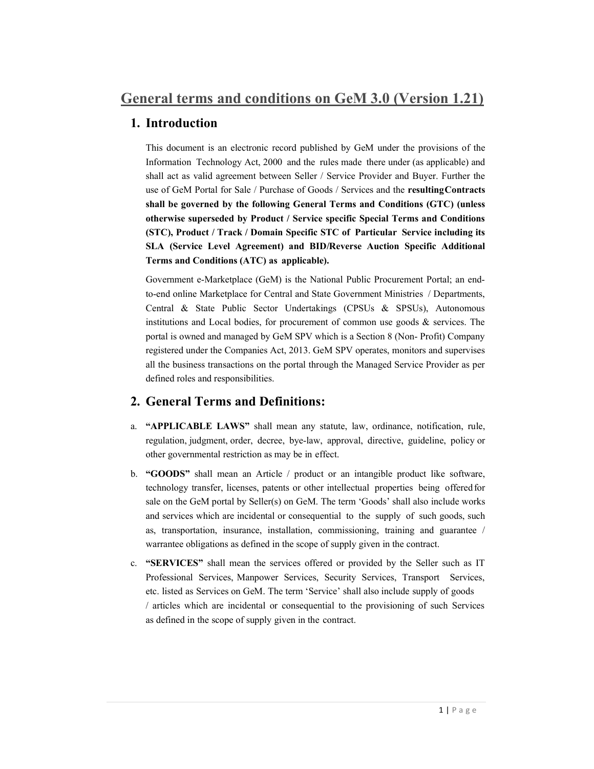# 1. Introduction

This document is an electronic record published by GeM under the provisions of the Information Technology Act, 2000 and the rules made there under (as applicable) and shall act as valid agreement between Seller / Service Provider and Buyer. Further the use of GeM Portal for Sale / Purchase of Goods / Services and the resulting Contracts shall be governed by the following General Terms and Conditions (GTC) (unless otherwise superseded by Product / Service specific Special Terms and Conditions (STC), Product / Track / Domain Specific STC of Particular Service including its SLA (Service Level Agreement) and BID/Reverse Auction Specific Additional Terms and Conditions (ATC) as applicable).

Government e-Marketplace (GeM) is the National Public Procurement Portal; an endto-end online Marketplace for Central and State Government Ministries / Departments, Central & State Public Sector Undertakings (CPSUs & SPSUs), Autonomous institutions and Local bodies, for procurement of common use goods & services. The portal is owned and managed by GeM SPV which is a Section 8 (Non- Profit) Company registered under the Companies Act, 2013. GeM SPV operates, monitors and supervises all the business transactions on the portal through the Managed Service Provider as per defined roles and responsibilities.

# 2. General Terms and Definitions:

- a. "APPLICABLE LAWS" shall mean any statute, law, ordinance, notification, rule, regulation, judgment, order, decree, bye-law, approval, directive, guideline, policy or other governmental restriction as may be in effect.
- b. "GOODS" shall mean an Article / product or an intangible product like software, technology transfer, licenses, patents or other intellectual properties being offered for sale on the GeM portal by Seller(s) on GeM. The term 'Goods' shall also include works and services which are incidental or consequential to the supply of such goods, such as, transportation, insurance, installation, commissioning, training and guarantee / warrantee obligations as defined in the scope of supply given in the contract.
- c. "SERVICES" shall mean the services offered or provided by the Seller such as IT Professional Services, Manpower Services, Security Services, Transport Services, etc. listed as Services on GeM. The term 'Service' shall also include supply of goods / articles which are incidental or consequential to the provisioning of such Services as defined in the scope of supply given in the contract.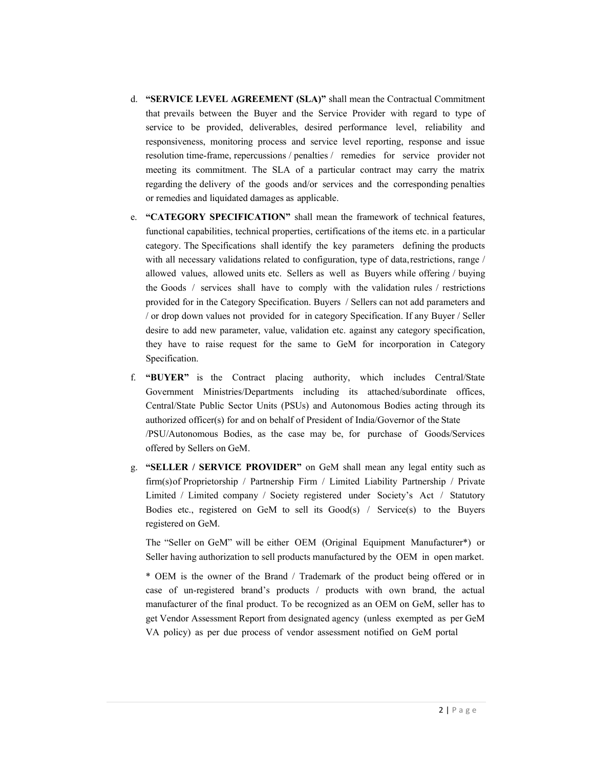- d. "SERVICE LEVEL AGREEMENT (SLA)" shall mean the Contractual Commitment that prevails between the Buyer and the Service Provider with regard to type of service to be provided, deliverables, desired performance level, reliability and responsiveness, monitoring process and service level reporting, response and issue resolution time-frame, repercussions / penalties / remedies for service provider not meeting its commitment. The SLA of a particular contract may carry the matrix regarding the delivery of the goods and/or services and the corresponding penalties or remedies and liquidated damages as applicable.
- e. "CATEGORY SPECIFICATION" shall mean the framework of technical features, functional capabilities, technical properties, certifications of the items etc. in a particular category. The Specifications shall identify the key parameters defining the products with all necessary validations related to configuration, type of data, restrictions, range / allowed values, allowed units etc. Sellers as well as Buyers while offering / buying the Goods / services shall have to comply with the validation rules / restrictions provided for in the Category Specification. Buyers / Sellers can not add parameters and / or drop down values not provided for in category Specification. If any Buyer / Seller desire to add new parameter, value, validation etc. against any category specification, they have to raise request for the same to GeM for incorporation in Category Specification.
- f. "BUYER" is the Contract placing authority, which includes Central/State Government Ministries/Departments including its attached/subordinate offices, Central/State Public Sector Units (PSUs) and Autonomous Bodies acting through its authorized officer(s) for and on behalf of President of India/Governor of the State /PSU/Autonomous Bodies, as the case may be, for purchase of Goods/Services offered by Sellers on GeM.
- g. "SELLER / SERVICE PROVIDER" on GeM shall mean any legal entity such as firm(s) of Proprietorship / Partnership Firm / Limited Liability Partnership / Private Limited / Limited company / Society registered under Society's Act / Statutory Bodies etc., registered on GeM to sell its  $Good(s)$  / Service(s) to the Buyers registered on GeM.

The "Seller on GeM" will be either OEM (Original Equipment Manufacturer\*) or Seller having authorization to sell products manufactured by the OEM in open market.

\* OEM is the owner of the Brand / Trademark of the product being offered or in case of un-registered brand's products / products with own brand, the actual manufacturer of the final product. To be recognized as an OEM on GeM, seller has to get Vendor Assessment Report from designated agency (unless exempted as per GeM VA policy) as per due process of vendor assessment notified on GeM portal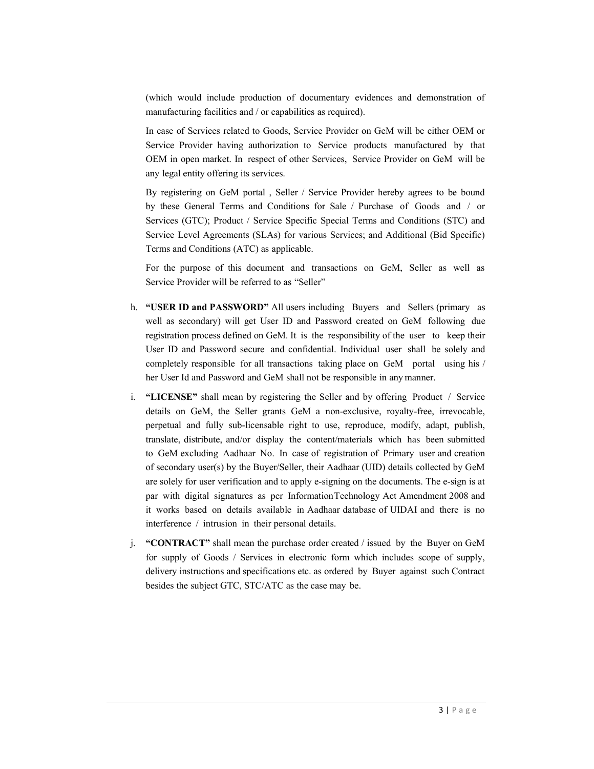(which would include production of documentary evidences and demonstration of manufacturing facilities and / or capabilities as required).

In case of Services related to Goods, Service Provider on GeM will be either OEM or Service Provider having authorization to Service products manufactured by that OEM in open market. In respect of other Services, Service Provider on GeM will be any legal entity offering its services.

By registering on GeM portal , Seller / Service Provider hereby agrees to be bound by these General Terms and Conditions for Sale / Purchase of Goods and / or Services (GTC); Product / Service Specific Special Terms and Conditions (STC) and Service Level Agreements (SLAs) for various Services; and Additional (Bid Specific) Terms and Conditions (ATC) as applicable.

For the purpose of this document and transactions on GeM, Seller as well as Service Provider will be referred to as "Seller"

- h. "USER ID and PASSWORD" All users including Buyers and Sellers (primary as well as secondary) will get User ID and Password created on GeM following due registration process defined on GeM. It is the responsibility of the user to keep their User ID and Password secure and confidential. Individual user shall be solely and completely responsible for all transactions taking place on GeM portal using his / her User Id and Password and GeM shall not be responsible in any manner.
- i. "LICENSE" shall mean by registering the Seller and by offering Product / Service details on GeM, the Seller grants GeM a non-exclusive, royalty-free, irrevocable, perpetual and fully sub-licensable right to use, reproduce, modify, adapt, publish, translate, distribute, and/or display the content/materials which has been submitted to GeM excluding Aadhaar No. In case of registration of Primary user and creation of secondary user(s) by the Buyer/Seller, their Aadhaar (UID) details collected by GeM are solely for user verification and to apply e-signing on the documents. The e-sign is at par with digital signatures as per Information Technology Act Amendment 2008 and it works based on details available in Aadhaar database of UIDAI and there is no interference / intrusion in their personal details.
- j. "CONTRACT" shall mean the purchase order created / issued by the Buyer on GeM for supply of Goods / Services in electronic form which includes scope of supply, delivery instructions and specifications etc. as ordered by Buyer against such Contract besides the subject GTC, STC/ATC as the case may be.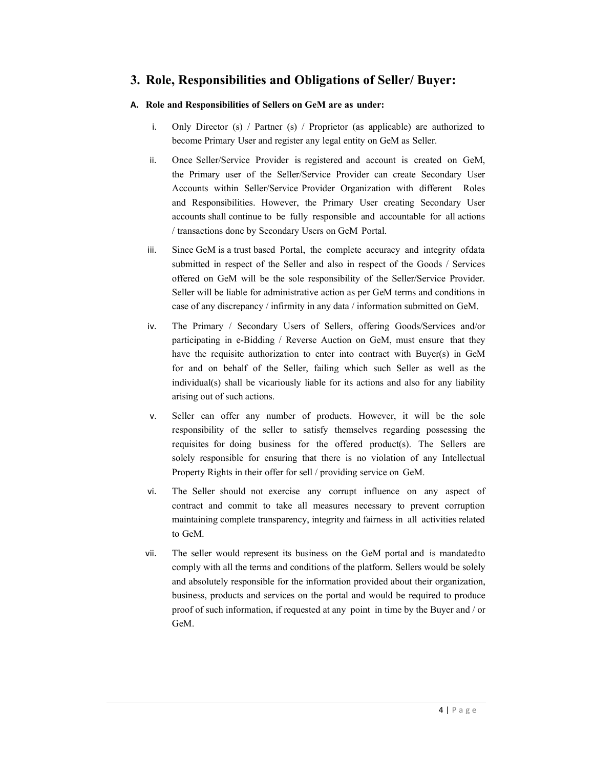# 3. Role, Responsibilities and Obligations of Seller/ Buyer:

# A. Role and Responsibilities of Sellers on GeM are as under:

- i. Only Director (s) / Partner (s) / Proprietor (as applicable) are authorized to become Primary User and register any legal entity on GeM as Seller.
- ii. Once Seller/Service Provider is registered and account is created on GeM, the Primary user of the Seller/Service Provider can create Secondary User Accounts within Seller/Service Provider Organization with different Roles and Responsibilities. However, the Primary User creating Secondary User accounts shall continue to be fully responsible and accountable for all actions / transactions done by Secondary Users on GeM Portal.
- iii. Since GeM is a trust based Portal, the complete accuracy and integrity of data submitted in respect of the Seller and also in respect of the Goods / Services offered on GeM will be the sole responsibility of the Seller/Service Provider. Seller will be liable for administrative action as per GeM terms and conditions in case of any discrepancy / infirmity in any data / information submitted on GeM.
- iv. The Primary / Secondary Users of Sellers, offering Goods/Services and/or participating in e-Bidding / Reverse Auction on GeM, must ensure that they have the requisite authorization to enter into contract with Buyer(s) in GeM for and on behalf of the Seller, failing which such Seller as well as the individual(s) shall be vicariously liable for its actions and also for any liability arising out of such actions.
- v. Seller can offer any number of products. However, it will be the sole responsibility of the seller to satisfy themselves regarding possessing the requisites for doing business for the offered product(s). The Sellers are solely responsible for ensuring that there is no violation of any Intellectual Property Rights in their offer for sell / providing service on GeM.
- vi. The Seller should not exercise any corrupt influence on any aspect of contract and commit to take all measures necessary to prevent corruption maintaining complete transparency, integrity and fairness in all activities related to GeM.
- vii. The seller would represent its business on the GeM portal and is mandated to comply with all the terms and conditions of the platform. Sellers would be solely and absolutely responsible for the information provided about their organization, business, products and services on the portal and would be required to produce proof of such information, if requested at any point in time by the Buyer and / or GeM.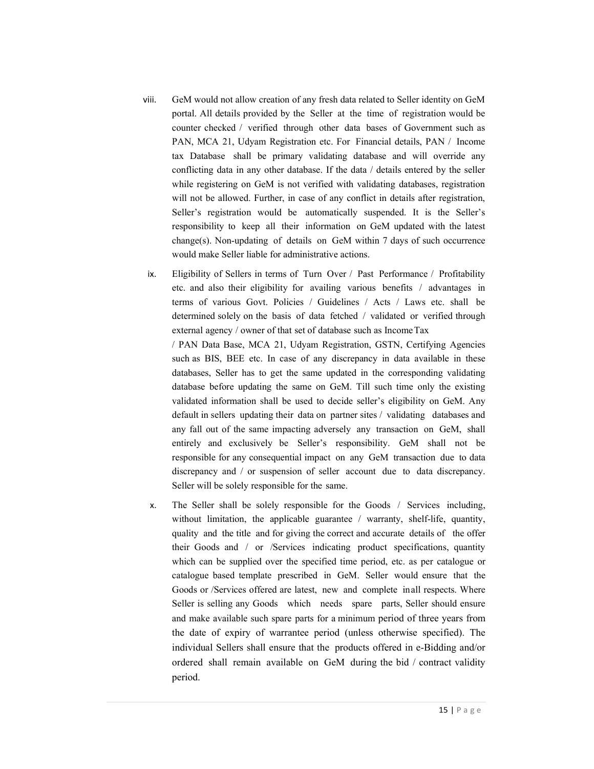- viii. GeM would not allow creation of any fresh data related to Seller identity on GeM portal. All details provided by the Seller at the time of registration would be counter checked / verified through other data bases of Government such as PAN, MCA 21, Udyam Registration etc. For Financial details, PAN / Income tax Database shall be primary validating database and will override any conflicting data in any other database. If the data / details entered by the seller while registering on GeM is not verified with validating databases, registration will not be allowed. Further, in case of any conflict in details after registration, Seller's registration would be automatically suspended. It is the Seller's responsibility to keep all their information on GeM updated with the latest change(s). Non-updating of details on GeM within 7 days of such occurrence would make Seller liable for administrative actions.
- ix. Eligibility of Sellers in terms of Turn Over / Past Performance / Profitability etc. and also their eligibility for availing various benefits / advantages in terms of various Govt. Policies / Guidelines / Acts / Laws etc. shall be determined solely on the basis of data fetched / validated or verified through external agency / owner of that set of database such as Income Tax

/ PAN Data Base, MCA 21, Udyam Registration, GSTN, Certifying Agencies such as BIS, BEE etc. In case of any discrepancy in data available in these databases, Seller has to get the same updated in the corresponding validating database before updating the same on GeM. Till such time only the existing validated information shall be used to decide seller's eligibility on GeM. Any default in sellers updating their data on partner sites / validating databases and any fall out of the same impacting adversely any transaction on GeM, shall entirely and exclusively be Seller's responsibility. GeM shall not be responsible for any consequential impact on any GeM transaction due to data discrepancy and / or suspension of seller account due to data discrepancy. Seller will be solely responsible for the same.

x. The Seller shall be solely responsible for the Goods / Services including, without limitation, the applicable guarantee / warranty, shelf-life, quantity, quality and the title and for giving the correct and accurate details of the offer their Goods and / or /Services indicating product specifications, quantity which can be supplied over the specified time period, etc. as per catalogue or catalogue based template prescribed in GeM. Seller would ensure that the Goods or /Services offered are latest, new and complete in all respects. Where Seller is selling any Goods which needs spare parts, Seller should ensure and make available such spare parts for a minimum period of three years from the date of expiry of warrantee period (unless otherwise specified). The individual Sellers shall ensure that the products offered in e-Bidding and/or ordered shall remain available on GeM during the bid / contract validity period.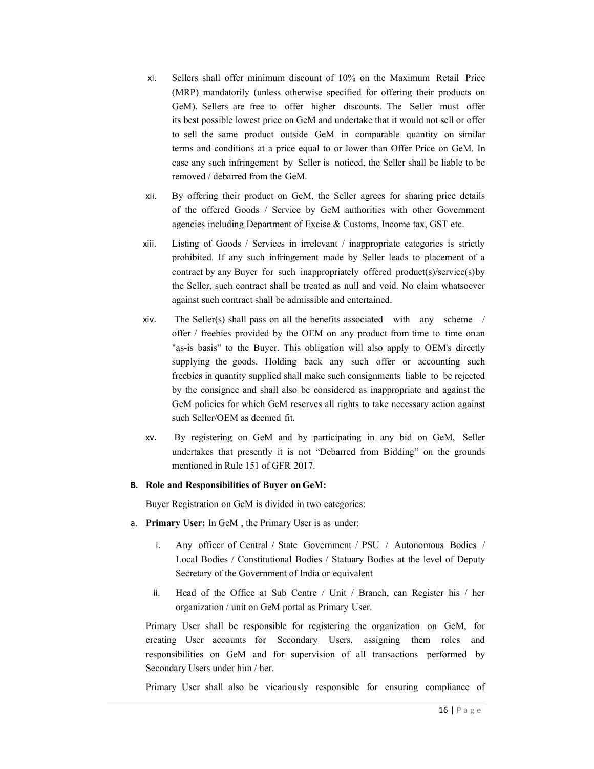- xi. Sellers shall offer minimum discount of 10% on the Maximum Retail Price (MRP) mandatorily (unless otherwise specified for offering their products on GeM). Sellers are free to offer higher discounts. The Seller must offer its best possible lowest price on GeM and undertake that it would not sell or offer to sell the same product outside GeM in comparable quantity on similar terms and conditions at a price equal to or lower than Offer Price on GeM. In case any such infringement by Seller is noticed, the Seller shall be liable to be removed / debarred from the GeM.
- xii. By offering their product on GeM, the Seller agrees for sharing price details of the offered Goods / Service by GeM authorities with other Government agencies including Department of Excise & Customs, Income tax, GST etc.
- xiii. Listing of Goods / Services in irrelevant / inappropriate categories is strictly prohibited. If any such infringement made by Seller leads to placement of a contract by any Buyer for such inappropriately offered product(s)/service(s) by the Seller, such contract shall be treated as null and void. No claim whatsoever against such contract shall be admissible and entertained.
- xiv. The Seller(s) shall pass on all the benefits associated with any scheme / offer / freebies provided by the OEM on any product from time to time on an "as-is basis" to the Buyer. This obligation will also apply to OEM's directly supplying the goods. Holding back any such offer or accounting such freebies in quantity supplied shall make such consignments liable to be rejected by the consignee and shall also be considered as inappropriate and against the GeM policies for which GeM reserves all rights to take necessary action against such Seller/OEM as deemed fit.
- xv. By registering on GeM and by participating in any bid on GeM, Seller undertakes that presently it is not "Debarred from Bidding" on the grounds mentioned in Rule 151 of GFR 2017.

### B. Role and Responsibilities of Buyer on GeM:

Buyer Registration on GeM is divided in two categories:

- a. Primary User: In GeM , the Primary User is as under:
	- i. Any officer of Central / State Government / PSU / Autonomous Bodies / Local Bodies / Constitutional Bodies / Statuary Bodies at the level of Deputy Secretary of the Government of India or equivalent
	- ii. Head of the Office at Sub Centre / Unit / Branch, can Register his / her organization / unit on GeM portal as Primary User.

Primary User shall be responsible for registering the organization on GeM, for creating User accounts for Secondary Users, assigning them roles and responsibilities on GeM and for supervision of all transactions performed by Secondary Users under him / her.

Primary User shall also be vicariously responsible for ensuring compliance of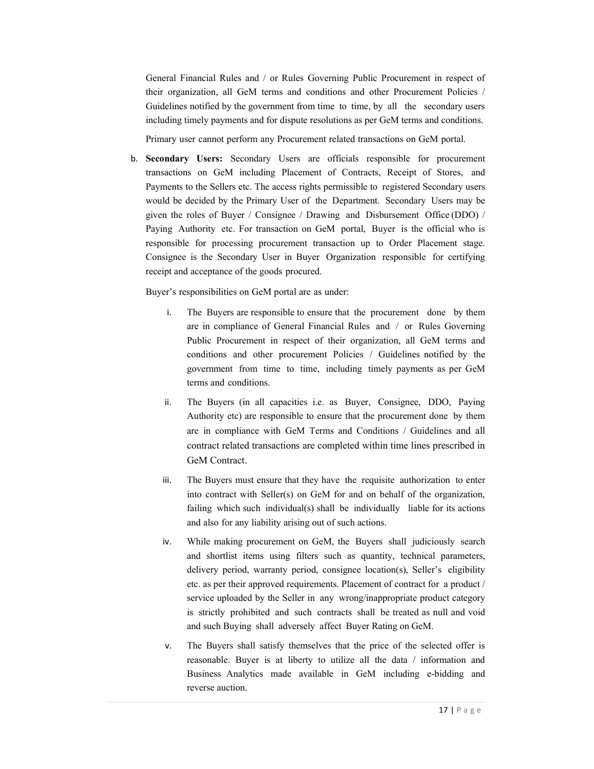General Financial Rules and / or Rules Governing Public Procurement in respect of their organization, all GeM terms and conditions and other Procurement Policies / Guidelines notified by the government from time to time, by all the secondary users including timely payments and for dispute resolutions as per GeM terms and conditions.

Primary user cannot perform any Procurement related transactions on GeM portal.

b. Secondary Users: Secondary Users are officials responsible for procurement transactions on GeM including Placement of Contracts, Receipt of Stores, and Payments to the Sellers etc. The access rights permissible to registered Secondary users would be decided by the Primary User of the Department. Secondary Users may be given the roles of Buyer / Consignee / Drawing and Disbursement Office (DDO) / Paying Authority etc. For transaction on GeM portal, Buyer is the official who is responsible for processing procurement transaction up to Order Placement stage. Consignee is the Secondary User in Buyer Organization responsible for certifying receipt and acceptance of the goods procured.

Buyer's responsibilities on GeM portal are as under:

- i. The Buyers are responsible to ensure that the procurement done by them are in compliance of General Financial Rules and / or Rules Governing Public Procurement in respect of their organization, all GeM terms and conditions and other procurement Policies / Guidelines notified by the government from time to time, including timely payments as per GeM terms and conditions.
- ii. The Buyers (in all capacities i.e. as Buyer, Consignee, DDO, Paying Authority etc) are responsible to ensure that the procurement done by them are in compliance with GeM Terms and Conditions / Guidelines and all contract related transactions are completed within time lines prescribed in GeM Contract.
- iii. The Buyers must ensure that they have the requisite authorization to enter into contract with Seller(s) on GeM for and on behalf of the organization, failing which such individual(s) shall be individually liable for its actions and also for any liability arising out of such actions.
- iv. While making procurement on GeM, the Buyers shall judiciously search and shortlist items using filters such as quantity, technical parameters, delivery period, warranty period, consignee location(s), Seller's eligibility etc. as per their approved requirements. Placement of contract for a product / service uploaded by the Seller in any wrong/inappropriate product category is strictly prohibited and such contracts shall be treated as null and void and such Buying shall adversely affect Buyer Rating on GeM.
- v. The Buyers shall satisfy themselves that the price of the selected offer is reasonable. Buyer is at liberty to utilize all the data / information and Business Analytics made available in GeM including e-bidding and reverse auction.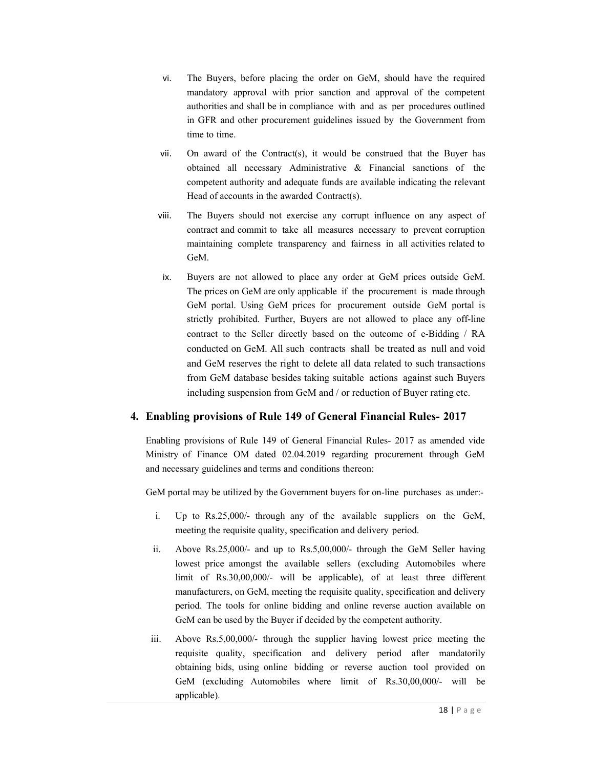- vi. The Buyers, before placing the order on GeM, should have the required mandatory approval with prior sanction and approval of the competent authorities and shall be in compliance with and as per procedures outlined in GFR and other procurement guidelines issued by the Government from time to time.
- vii. On award of the Contract(s), it would be construed that the Buyer has obtained all necessary Administrative & Financial sanctions of the competent authority and adequate funds are available indicating the relevant Head of accounts in the awarded Contract(s).
- viii. The Buyers should not exercise any corrupt influence on any aspect of contract and commit to take all measures necessary to prevent corruption maintaining complete transparency and fairness in all activities related to GeM.
- ix. Buyers are not allowed to place any order at GeM prices outside GeM. The prices on GeM are only applicable if the procurement is made through GeM portal. Using GeM prices for procurement outside GeM portal is strictly prohibited. Further, Buyers are not allowed to place any off-line contract to the Seller directly based on the outcome of e-Bidding / RA conducted on GeM. All such contracts shall be treated as null and void and GeM reserves the right to delete all data related to such transactions from GeM database besides taking suitable actions against such Buyers including suspension from GeM and / or reduction of Buyer rating etc.

# 4. Enabling provisions of Rule 149 of General Financial Rules- 2017

Enabling provisions of Rule 149 of General Financial Rules- 2017 as amended vide Ministry of Finance OM dated 02.04.2019 regarding procurement through GeM and necessary guidelines and terms and conditions thereon:

GeM portal may be utilized by the Government buyers for on-line purchases as under:-

- i. Up to Rs.25,000/- through any of the available suppliers on the GeM, meeting the requisite quality, specification and delivery period.
- ii. Above Rs.25,000/- and up to Rs.5,00,000/- through the GeM Seller having lowest price amongst the available sellers (excluding Automobiles where limit of Rs.30,00,000/- will be applicable), of at least three different manufacturers, on GeM, meeting the requisite quality, specification and delivery period. The tools for online bidding and online reverse auction available on GeM can be used by the Buyer if decided by the competent authority.
- iii. Above Rs.5,00,000/- through the supplier having lowest price meeting the requisite quality, specification and delivery period after mandatorily obtaining bids, using online bidding or reverse auction tool provided on GeM (excluding Automobiles where limit of Rs.30,00,000/- will be applicable).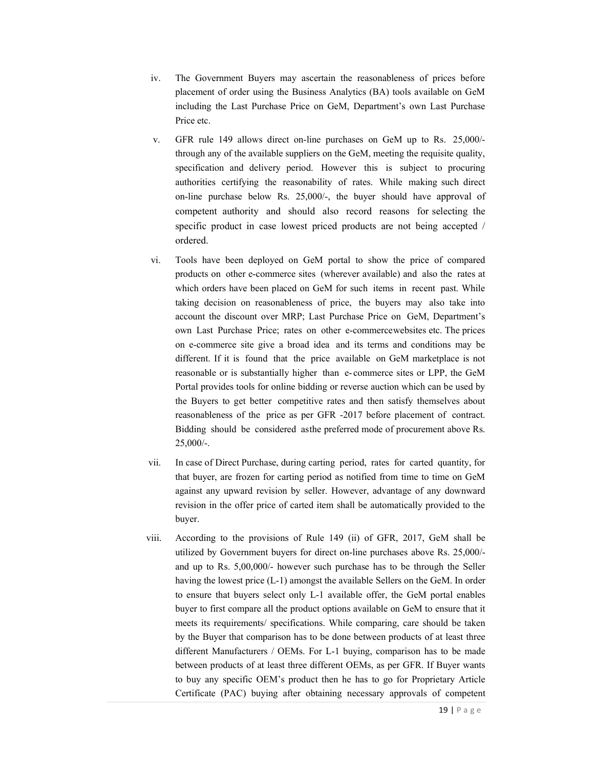- iv. The Government Buyers may ascertain the reasonableness of prices before placement of order using the Business Analytics (BA) tools available on GeM including the Last Purchase Price on GeM, Department's own Last Purchase Price etc.
- v. GFR rule 149 allows direct on-line purchases on GeM up to Rs. 25,000/ through any of the available suppliers on the GeM, meeting the requisite quality, specification and delivery period. However this is subject to procuring authorities certifying the reasonability of rates. While making such direct on-line purchase below Rs. 25,000/-, the buyer should have approval of competent authority and should also record reasons for selecting the specific product in case lowest priced products are not being accepted / ordered.
- vi. Tools have been deployed on GeM portal to show the price of compared products on other e-commerce sites (wherever available) and also the rates at which orders have been placed on GeM for such items in recent past. While taking decision on reasonableness of price, the buyers may also take into account the discount over MRP; Last Purchase Price on GeM, Department's own Last Purchase Price; rates on other e-commerce websites etc. The prices on e-commerce site give a broad idea and its terms and conditions may be different. If it is found that the price available on GeM marketplace is not reasonable or is substantially higher than e- commerce sites or LPP, the GeM Portal provides tools for online bidding or reverse auction which can be used by the Buyers to get better competitive rates and then satisfy themselves about reasonableness of the price as per GFR -2017 before placement of contract. Bidding should be considered as the preferred mode of procurement above Rs. 25,000/-.
- vii. In case of Direct Purchase, during carting period, rates for carted quantity, for that buyer, are frozen for carting period as notified from time to time on GeM against any upward revision by seller. However, advantage of any downward revision in the offer price of carted item shall be automatically provided to the buyer.
- viii. According to the provisions of Rule 149 (ii) of GFR, 2017, GeM shall be utilized by Government buyers for direct on-line purchases above Rs. 25,000/ and up to Rs. 5,00,000/- however such purchase has to be through the Seller having the lowest price (L-1) amongst the available Sellers on the GeM. In order to ensure that buyers select only L-1 available offer, the GeM portal enables buyer to first compare all the product options available on GeM to ensure that it meets its requirements/ specifications. While comparing, care should be taken by the Buyer that comparison has to be done between products of at least three different Manufacturers / OEMs. For L-1 buying, comparison has to be made between products of at least three different OEMs, as per GFR. If Buyer wants to buy any specific OEM's product then he has to go for Proprietary Article Certificate (PAC) buying after obtaining necessary approvals of competent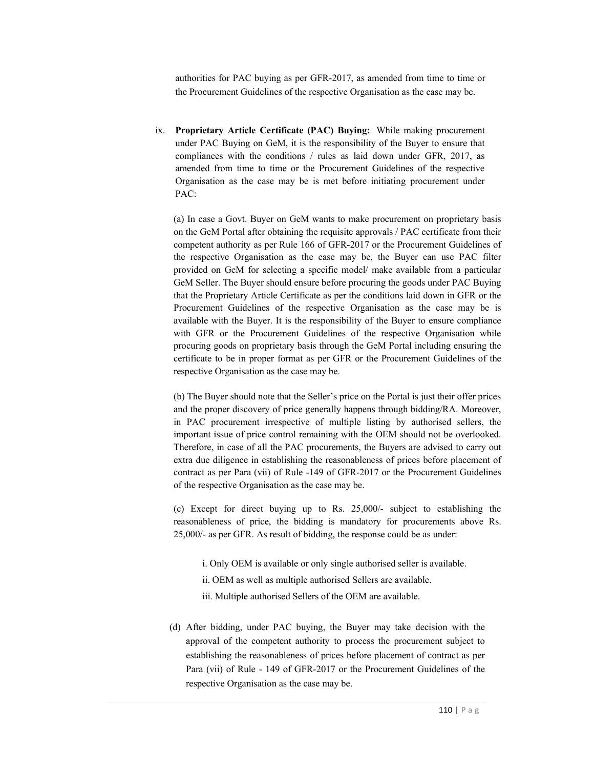authorities for PAC buying as per GFR-2017, as amended from time to time or the Procurement Guidelines of the respective Organisation as the case may be.

ix. Proprietary Article Certificate (PAC) Buying: While making procurement under PAC Buying on GeM, it is the responsibility of the Buyer to ensure that compliances with the conditions / rules as laid down under GFR, 2017, as amended from time to time or the Procurement Guidelines of the respective Organisation as the case may be is met before initiating procurement under PAC:

(a) In case a Govt. Buyer on GeM wants to make procurement on proprietary basis on the GeM Portal after obtaining the requisite approvals / PAC certificate from their competent authority as per Rule 166 of GFR-2017 or the Procurement Guidelines of the respective Organisation as the case may be, the Buyer can use PAC filter provided on GeM for selecting a specific model/ make available from a particular GeM Seller. The Buyer should ensure before procuring the goods under PAC Buying that the Proprietary Article Certificate as per the conditions laid down in GFR or the Procurement Guidelines of the respective Organisation as the case may be is available with the Buyer. It is the responsibility of the Buyer to ensure compliance with GFR or the Procurement Guidelines of the respective Organisation while procuring goods on proprietary basis through the GeM Portal including ensuring the certificate to be in proper format as per GFR or the Procurement Guidelines of the respective Organisation as the case may be.

(b) The Buyer should note that the Seller's price on the Portal is just their offer prices and the proper discovery of price generally happens through bidding/RA. Moreover, in PAC procurement irrespective of multiple listing by authorised sellers, the important issue of price control remaining with the OEM should not be overlooked. Therefore, in case of all the PAC procurements, the Buyers are advised to carry out extra due diligence in establishing the reasonableness of prices before placement of contract as per Para (vii) of Rule -149 of GFR-2017 or the Procurement Guidelines of the respective Organisation as the case may be.

(c) Except for direct buying up to Rs. 25,000/- subject to establishing the reasonableness of price, the bidding is mandatory for procurements above Rs. 25,000/- as per GFR. As result of bidding, the response could be as under:

- i. Only OEM is available or only single authorised seller is available.
- ii. OEM as well as multiple authorised Sellers are available.
- iii. Multiple authorised Sellers of the OEM are available.
- (d) After bidding, under PAC buying, the Buyer may take decision with the approval of the competent authority to process the procurement subject to establishing the reasonableness of prices before placement of contract as per Para (vii) of Rule - 149 of GFR-2017 or the Procurement Guidelines of the respective Organisation as the case may be.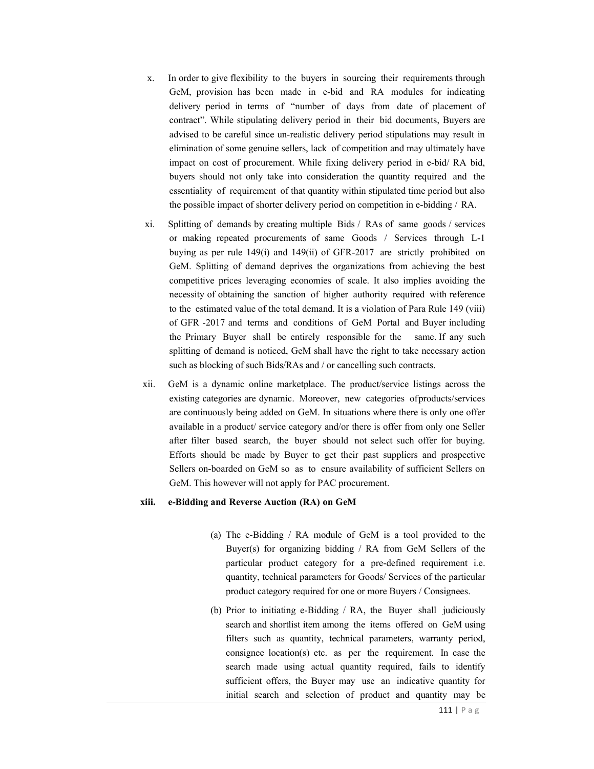- x. In order to give flexibility to the buyers in sourcing their requirements through GeM, provision has been made in e-bid and RA modules for indicating delivery period in terms of "number of days from date of placement of contract". While stipulating delivery period in their bid documents, Buyers are advised to be careful since un-realistic delivery period stipulations may result in elimination of some genuine sellers, lack of competition and may ultimately have impact on cost of procurement. While fixing delivery period in e-bid/ RA bid, buyers should not only take into consideration the quantity required and the essentiality of requirement of that quantity within stipulated time period but also the possible impact of shorter delivery period on competition in e-bidding / RA.
- xi. Splitting of demands by creating multiple Bids / RAs of same goods / services or making repeated procurements of same Goods / Services through L-1 buying as per rule 149(i) and 149(ii) of GFR-2017 are strictly prohibited on GeM. Splitting of demand deprives the organizations from achieving the best competitive prices leveraging economies of scale. It also implies avoiding the necessity of obtaining the sanction of higher authority required with reference to the estimated value of the total demand. It is a violation of Para Rule 149 (viii) of GFR -2017 and terms and conditions of GeM Portal and Buyer including the Primary Buyer shall be entirely responsible for the same. If any such splitting of demand is noticed, GeM shall have the right to take necessary action such as blocking of such Bids/RAs and / or cancelling such contracts.
- xii. GeM is a dynamic online marketplace. The product/service listings across the existing categories are dynamic. Moreover, new categories of products/services are continuously being added on GeM. In situations where there is only one offer available in a product/ service category and/or there is offer from only one Seller after filter based search, the buyer should not select such offer for buying. Efforts should be made by Buyer to get their past suppliers and prospective Sellers on-boarded on GeM so as to ensure availability of sufficient Sellers on GeM. This however will not apply for PAC procurement.

#### xiii. e-Bidding and Reverse Auction (RA) on GeM

- (a) The e-Bidding / RA module of GeM is a tool provided to the Buyer(s) for organizing bidding / RA from GeM Sellers of the particular product category for a pre-defined requirement i.e. quantity, technical parameters for Goods/ Services of the particular product category required for one or more Buyers / Consignees.
- (b) Prior to initiating e-Bidding / RA, the Buyer shall judiciously search and shortlist item among the items offered on GeM using filters such as quantity, technical parameters, warranty period, consignee location(s) etc. as per the requirement. In case the search made using actual quantity required, fails to identify sufficient offers, the Buyer may use an indicative quantity for initial search and selection of product and quantity may be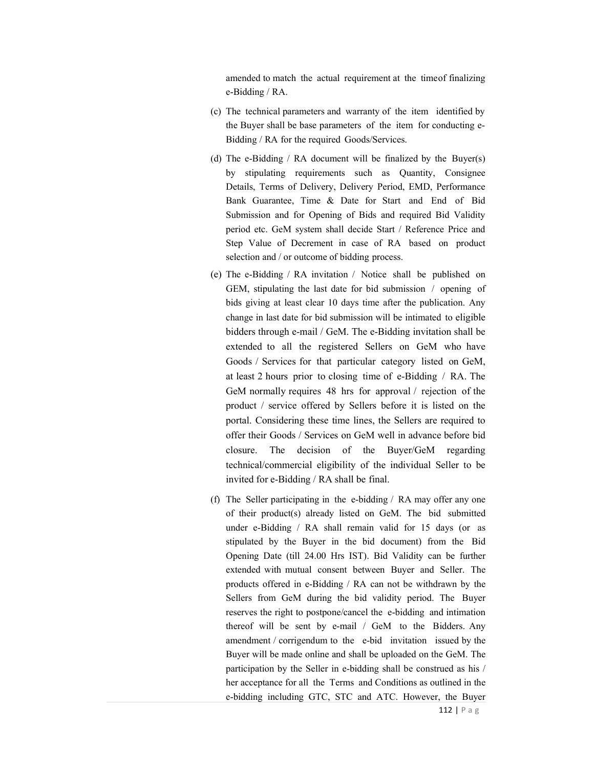amended to match the actual requirement at the time of finalizing e-Bidding / RA.

- (c) The technical parameters and warranty of the item identified by the Buyer shall be base parameters of the item for conducting e-Bidding / RA for the required Goods/Services.
- (d) The e-Bidding / RA document will be finalized by the Buyer(s) by stipulating requirements such as Quantity, Consignee Details, Terms of Delivery, Delivery Period, EMD, Performance Bank Guarantee, Time & Date for Start and End of Bid Submission and for Opening of Bids and required Bid Validity period etc. GeM system shall decide Start / Reference Price and Step Value of Decrement in case of RA based on product selection and / or outcome of bidding process.
- (e) The e-Bidding / RA invitation / Notice shall be published on GEM, stipulating the last date for bid submission / opening of bids giving at least clear 10 days time after the publication. Any change in last date for bid submission will be intimated to eligible bidders through e-mail / GeM. The e-Bidding invitation shall be extended to all the registered Sellers on GeM who have Goods / Services for that particular category listed on GeM, at least 2 hours prior to closing time of e-Bidding / RA. The GeM normally requires 48 hrs for approval / rejection of the product / service offered by Sellers before it is listed on the portal. Considering these time lines, the Sellers are required to offer their Goods / Services on GeM well in advance before bid closure. The decision of the Buyer/GeM regarding technical/commercial eligibility of the individual Seller to be invited for e-Bidding / RA shall be final.
- (f) The Seller participating in the e-bidding / RA may offer any one of their product(s) already listed on GeM. The bid submitted under e-Bidding / RA shall remain valid for 15 days (or as stipulated by the Buyer in the bid document) from the Bid Opening Date (till 24.00 Hrs IST). Bid Validity can be further extended with mutual consent between Buyer and Seller. The products offered in e-Bidding / RA can not be withdrawn by the Sellers from GeM during the bid validity period. The Buyer reserves the right to postpone/cancel the e-bidding and intimation thereof will be sent by e-mail / GeM to the Bidders. Any amendment / corrigendum to the e-bid invitation issued by the Buyer will be made online and shall be uploaded on the GeM. The participation by the Seller in e-bidding shall be construed as his / her acceptance for all the Terms and Conditions as outlined in the e-bidding including GTC, STC and ATC. However, the Buyer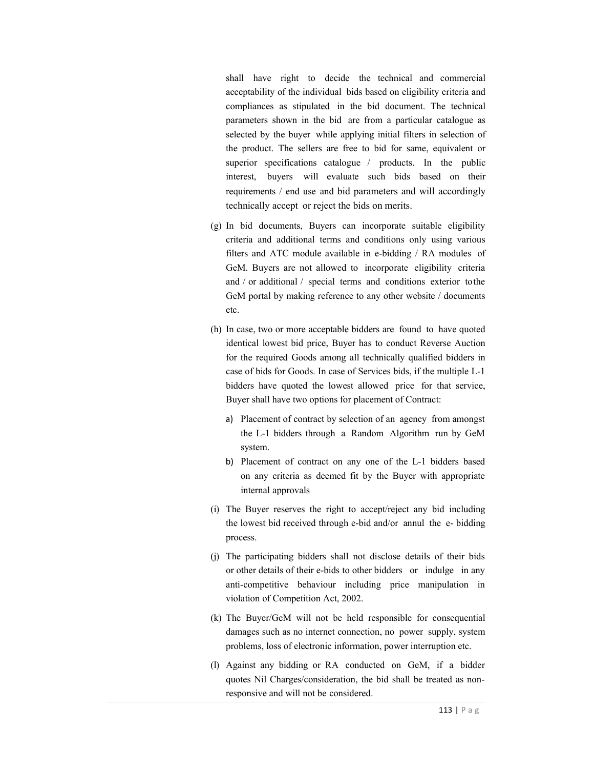shall have right to decide the technical and commercial acceptability of the individual bids based on eligibility criteria and compliances as stipulated in the bid document. The technical parameters shown in the bid are from a particular catalogue as selected by the buyer while applying initial filters in selection of the product. The sellers are free to bid for same, equivalent or superior specifications catalogue / products. In the public interest, buyers will evaluate such bids based on their requirements / end use and bid parameters and will accordingly technically accept or reject the bids on merits.

- (g) In bid documents, Buyers can incorporate suitable eligibility criteria and additional terms and conditions only using various filters and ATC module available in e-bidding / RA modules of GeM. Buyers are not allowed to incorporate eligibility criteria and / or additional / special terms and conditions exterior to the GeM portal by making reference to any other website / documents etc.
- (h) In case, two or more acceptable bidders are found to have quoted identical lowest bid price, Buyer has to conduct Reverse Auction for the required Goods among all technically qualified bidders in case of bids for Goods. In case of Services bids, if the multiple L-1 bidders have quoted the lowest allowed price for that service, Buyer shall have two options for placement of Contract:
	- a) Placement of contract by selection of an agency from amongst the L-1 bidders through a Random Algorithm run by GeM system.
	- b) Placement of contract on any one of the L-1 bidders based on any criteria as deemed fit by the Buyer with appropriate internal approvals
- (i) The Buyer reserves the right to accept/reject any bid including the lowest bid received through e-bid and/or annul the e- bidding process.
- (j) The participating bidders shall not disclose details of their bids or other details of their e-bids to other bidders or indulge in any anti-competitive behaviour including price manipulation in violation of Competition Act, 2002.
- (k) The Buyer/GeM will not be held responsible for consequential damages such as no internet connection, no power supply, system problems, loss of electronic information, power interruption etc.
- (l) Against any bidding or RA conducted on GeM, if a bidder quotes Nil Charges/consideration, the bid shall be treated as nonresponsive and will not be considered.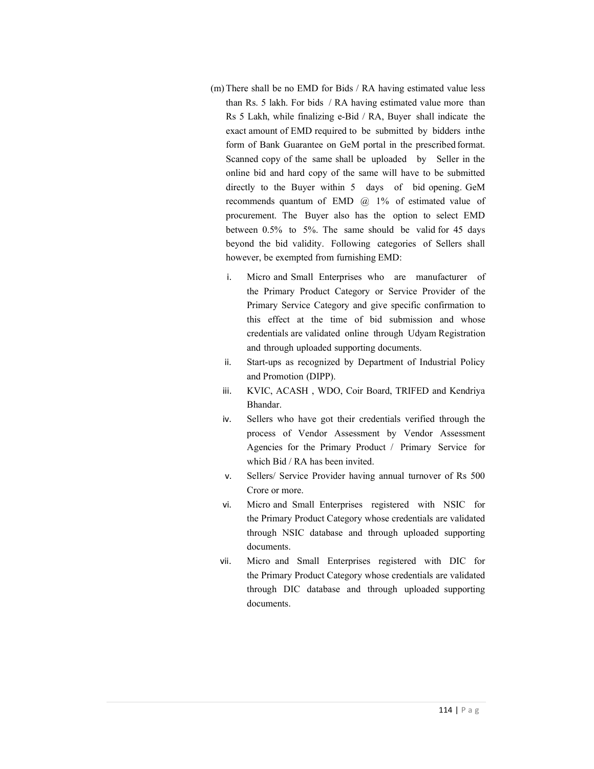- (m) There shall be no EMD for Bids / RA having estimated value less than Rs. 5 lakh. For bids / RA having estimated value more than Rs 5 Lakh, while finalizing e-Bid / RA, Buyer shall indicate the exact amount of EMD required to be submitted by bidders in the form of Bank Guarantee on GeM portal in the prescribed format. Scanned copy of the same shall be uploaded by Seller in the online bid and hard copy of the same will have to be submitted directly to the Buyer within 5 days of bid opening. GeM recommends quantum of EMD  $@$  1% of estimated value of procurement. The Buyer also has the option to select EMD between 0.5% to 5%. The same should be valid for 45 days beyond the bid validity. Following categories of Sellers shall however, be exempted from furnishing EMD:
	- i. Micro and Small Enterprises who are manufacturer of the Primary Product Category or Service Provider of the Primary Service Category and give specific confirmation to this effect at the time of bid submission and whose credentials are validated online through Udyam Registration and through uploaded supporting documents.
	- ii. Start-ups as recognized by Department of Industrial Policy and Promotion (DIPP).
	- iii. KVIC, ACASH , WDO, Coir Board, TRIFED and Kendriya Bhandar.
	- iv. Sellers who have got their credentials verified through the process of Vendor Assessment by Vendor Assessment Agencies for the Primary Product / Primary Service for which Bid / RA has been invited.
	- v. Sellers/ Service Provider having annual turnover of Rs 500 Crore or more.
	- vi. Micro and Small Enterprises registered with NSIC for the Primary Product Category whose credentials are validated through NSIC database and through uploaded supporting documents.
	- vii. Micro and Small Enterprises registered with DIC for the Primary Product Category whose credentials are validated through DIC database and through uploaded supporting documents.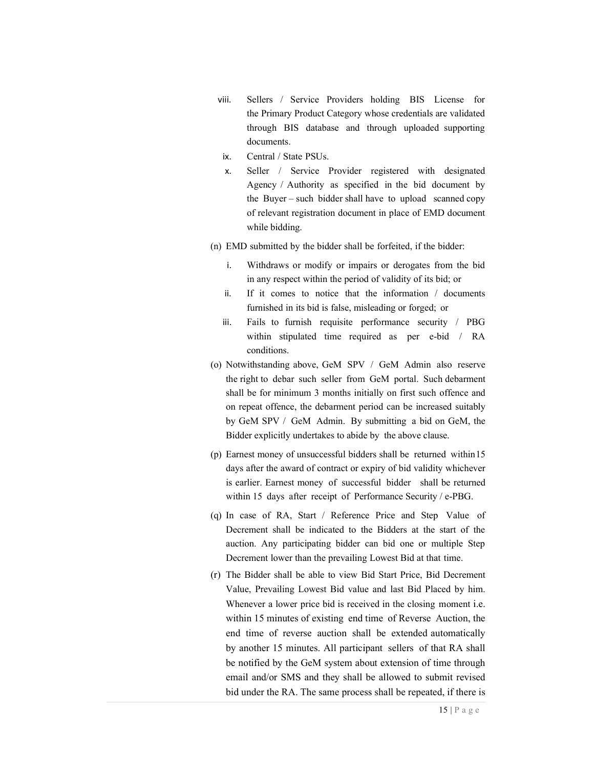- viii. Sellers / Service Providers holding BIS License for the Primary Product Category whose credentials are validated through BIS database and through uploaded supporting documents.
- ix. Central / State PSUs.
- x. Seller / Service Provider registered with designated Agency / Authority as specified in the bid document by the Buyer – such bidder shall have to upload scanned copy of relevant registration document in place of EMD document while bidding.
- (n) EMD submitted by the bidder shall be forfeited, if the bidder:
	- i. Withdraws or modify or impairs or derogates from the bid in any respect within the period of validity of its bid; or
	- ii. If it comes to notice that the information / documents furnished in its bid is false, misleading or forged; or
	- iii. Fails to furnish requisite performance security / PBG within stipulated time required as per e-bid / RA conditions.
- (o) Notwithstanding above, GeM SPV / GeM Admin also reserve the right to debar such seller from GeM portal. Such debarment shall be for minimum 3 months initially on first such offence and on repeat offence, the debarment period can be increased suitably by GeM SPV / GeM Admin. By submitting a bid on GeM, the Bidder explicitly undertakes to abide by the above clause.
- (p) Earnest money of unsuccessful bidders shall be returned within 15 days after the award of contract or expiry of bid validity whichever is earlier. Earnest money of successful bidder shall be returned within 15 days after receipt of Performance Security / e-PBG.
- (q) In case of RA, Start / Reference Price and Step Value of Decrement shall be indicated to the Bidders at the start of the auction. Any participating bidder can bid one or multiple Step Decrement lower than the prevailing Lowest Bid at that time.
- (r) The Bidder shall be able to view Bid Start Price, Bid Decrement Value, Prevailing Lowest Bid value and last Bid Placed by him. Whenever a lower price bid is received in the closing moment i.e. within 15 minutes of existing end time of Reverse Auction, the end time of reverse auction shall be extended automatically by another 15 minutes. All participant sellers of that RA shall be notified by the GeM system about extension of time through email and/or SMS and they shall be allowed to submit revised bid under the RA. The same process shall be repeated, if there is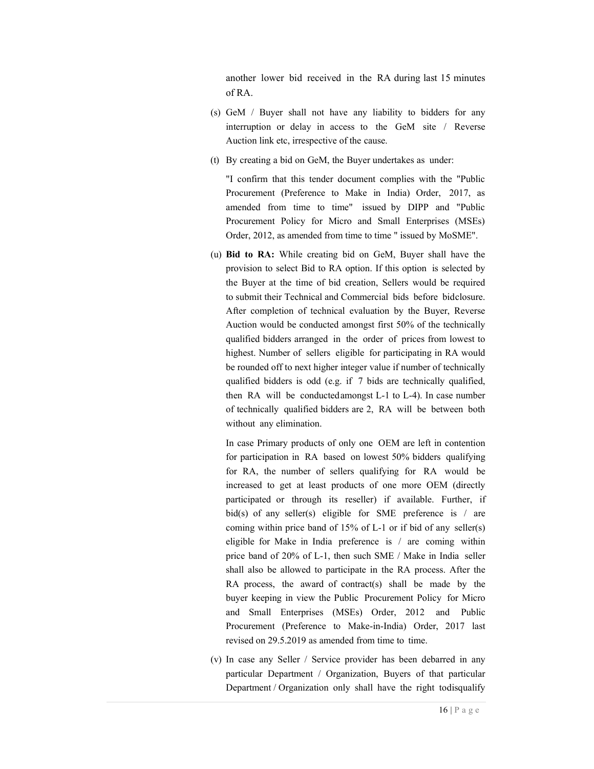another lower bid received in the RA during last 15 minutes of RA.

- (s) GeM / Buyer shall not have any liability to bidders for any interruption or delay in access to the GeM site / Reverse Auction link etc, irrespective of the cause.
- (t) By creating a bid on GeM, the Buyer undertakes as under:

"I confirm that this tender document complies with the "Public Procurement (Preference to Make in India) Order, 2017, as amended from time to time" issued by DIPP and "Public Procurement Policy for Micro and Small Enterprises (MSEs) Order, 2012, as amended from time to time " issued by MoSME".

(u) Bid to RA: While creating bid on GeM, Buyer shall have the provision to select Bid to RA option. If this option is selected by the Buyer at the time of bid creation, Sellers would be required to submit their Technical and Commercial bids before bid closure. After completion of technical evaluation by the Buyer, Reverse Auction would be conducted amongst first 50% of the technically qualified bidders arranged in the order of prices from lowest to highest. Number of sellers eligible for participating in RA would be rounded off to next higher integer value if number of technically qualified bidders is odd (e.g. if 7 bids are technically qualified, then RA will be conducted amongst L-1 to L-4). In case number of technically qualified bidders are 2, RA will be between both without any elimination.

In case Primary products of only one OEM are left in contention for participation in RA based on lowest 50% bidders qualifying for RA, the number of sellers qualifying for RA would be increased to get at least products of one more OEM (directly participated or through its reseller) if available. Further, if bid(s) of any seller(s) eligible for SME preference is  $\ell$  are coming within price band of 15% of L-1 or if bid of any seller(s) eligible for Make in India preference is / are coming within price band of 20% of L-1, then such SME / Make in India seller shall also be allowed to participate in the RA process. After the RA process, the award of contract(s) shall be made by the buyer keeping in view the Public Procurement Policy for Micro and Small Enterprises (MSEs) Order, 2012 and Public Procurement (Preference to Make-in-India) Order, 2017 last revised on 29.5.2019 as amended from time to time.

(v) In case any Seller / Service provider has been debarred in any particular Department / Organization, Buyers of that particular Department / Organization only shall have the right to disqualify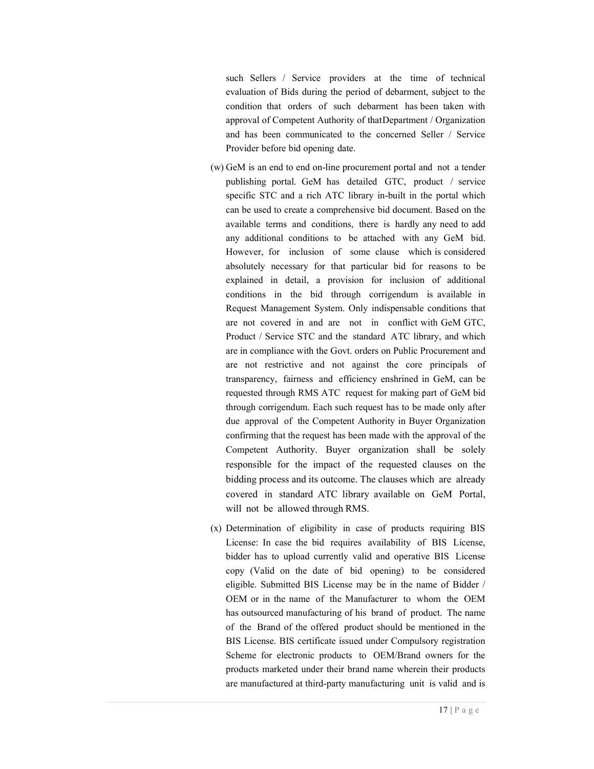such Sellers / Service providers at the time of technical evaluation of Bids during the period of debarment, subject to the condition that orders of such debarment has been taken with approval of Competent Authority of that Department / Organization and has been communicated to the concerned Seller / Service Provider before bid opening date.

- (w) GeM is an end to end on-line procurement portal and not a tender publishing portal. GeM has detailed GTC, product / service specific STC and a rich ATC library in-built in the portal which can be used to create a comprehensive bid document. Based on the available terms and conditions, there is hardly any need to add any additional conditions to be attached with any GeM bid. However, for inclusion of some clause which is considered absolutely necessary for that particular bid for reasons to be explained in detail, a provision for inclusion of additional conditions in the bid through corrigendum is available in Request Management System. Only indispensable conditions that are not covered in and are not in conflict with GeM GTC, Product / Service STC and the standard ATC library, and which are in compliance with the Govt. orders on Public Procurement and are not restrictive and not against the core principals of transparency, fairness and efficiency enshrined in GeM, can be requested through RMS ATC request for making part of GeM bid through corrigendum. Each such request has to be made only after due approval of the Competent Authority in Buyer Organization confirming that the request has been made with the approval of the Competent Authority. Buyer organization shall be solely responsible for the impact of the requested clauses on the bidding process and its outcome. The clauses which are already covered in standard ATC library available on GeM Portal, will not be allowed through RMS.
- (x) Determination of eligibility in case of products requiring BIS License: In case the bid requires availability of BIS License, bidder has to upload currently valid and operative BIS License copy (Valid on the date of bid opening) to be considered eligible. Submitted BIS License may be in the name of Bidder / OEM or in the name of the Manufacturer to whom the OEM has outsourced manufacturing of his brand of product. The name of the Brand of the offered product should be mentioned in the BIS License. BIS certificate issued under Compulsory registration Scheme for electronic products to OEM/Brand owners for the products marketed under their brand name wherein their products are manufactured at third-party manufacturing unit is valid and is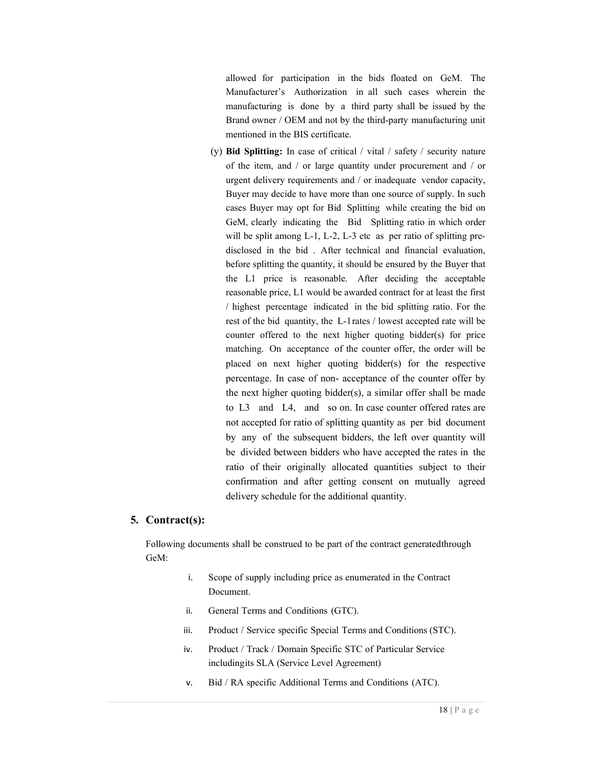allowed for participation in the bids floated on GeM. The Manufacturer's Authorization in all such cases wherein the manufacturing is done by a third party shall be issued by the Brand owner / OEM and not by the third-party manufacturing unit mentioned in the BIS certificate.

(y) Bid Splitting: In case of critical / vital / safety / security nature of the item, and / or large quantity under procurement and / or urgent delivery requirements and / or inadequate vendor capacity, Buyer may decide to have more than one source of supply. In such cases Buyer may opt for Bid Splitting while creating the bid on GeM, clearly indicating the Bid Splitting ratio in which order will be split among L-1, L-2, L-3 etc as per ratio of splitting predisclosed in the bid . After technical and financial evaluation, before splitting the quantity, it should be ensured by the Buyer that the L1 price is reasonable. After deciding the acceptable reasonable price, L1 would be awarded contract for at least the first / highest percentage indicated in the bid splitting ratio. For the rest of the bid quantity, the L-1 rates / lowest accepted rate will be counter offered to the next higher quoting bidder(s) for price matching. On acceptance of the counter offer, the order will be placed on next higher quoting bidder(s) for the respective percentage. In case of non- acceptance of the counter offer by the next higher quoting bidder(s), a similar offer shall be made to L3 and L4, and so on. In case counter offered rates are not accepted for ratio of splitting quantity as per bid document by any of the subsequent bidders, the left over quantity will be divided between bidders who have accepted the rates in the ratio of their originally allocated quantities subject to their confirmation and after getting consent on mutually agreed delivery schedule for the additional quantity.

### 5. Contract(s):

Following documents shall be construed to be part of the contract generated through GeM:

- i. Scope of supply including price as enumerated in the Contract Document.
- ii. General Terms and Conditions (GTC).
- iii. Product / Service specific Special Terms and Conditions (STC).
- iv. Product / Track / Domain Specific STC of Particular Service including its SLA (Service Level Agreement)
- v. Bid / RA specific Additional Terms and Conditions (ATC).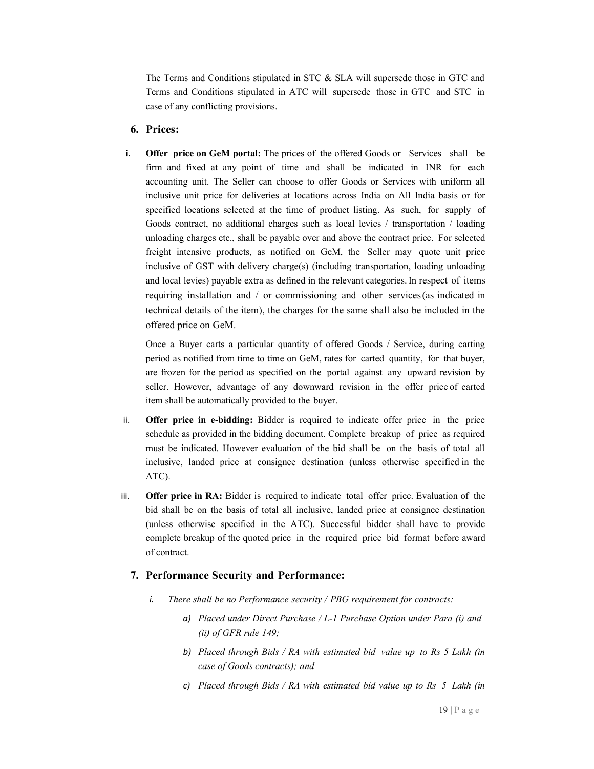The Terms and Conditions stipulated in STC & SLA will supersede those in GTC and Terms and Conditions stipulated in ATC will supersede those in GTC and STC in case of any conflicting provisions.

## 6. Prices:

i. Offer price on GeM portal: The prices of the offered Goods or Services shall be firm and fixed at any point of time and shall be indicated in INR for each accounting unit. The Seller can choose to offer Goods or Services with uniform all inclusive unit price for deliveries at locations across India on All India basis or for specified locations selected at the time of product listing. As such, for supply of Goods contract, no additional charges such as local levies / transportation / loading unloading charges etc., shall be payable over and above the contract price. For selected freight intensive products, as notified on GeM, the Seller may quote unit price inclusive of GST with delivery charge(s) (including transportation, loading unloading and local levies) payable extra as defined in the relevant categories. In respect of items requiring installation and / or commissioning and other services (as indicated in technical details of the item), the charges for the same shall also be included in the offered price on GeM.

Once a Buyer carts a particular quantity of offered Goods / Service, during carting period as notified from time to time on GeM, rates for carted quantity, for that buyer, are frozen for the period as specified on the portal against any upward revision by seller. However, advantage of any downward revision in the offer price of carted item shall be automatically provided to the buyer.

- ii. Offer price in e-bidding: Bidder is required to indicate offer price in the price schedule as provided in the bidding document. Complete breakup of price as required must be indicated. However evaluation of the bid shall be on the basis of total all inclusive, landed price at consignee destination (unless otherwise specified in the ATC).
- iii. Offer price in RA: Bidder is required to indicate total offer price. Evaluation of the bid shall be on the basis of total all inclusive, landed price at consignee destination (unless otherwise specified in the ATC). Successful bidder shall have to provide complete breakup of the quoted price in the required price bid format before award of contract.

# 7. Performance Security and Performance:

- i. There shall be no Performance security / PBG requirement for contracts:
	- a) Placed under Direct Purchase / L-1 Purchase Option under Para (i) and (ii) of GFR rule 149;
	- b) Placed through Bids / RA with estimated bid value up to Rs 5 Lakh (in case of Goods contracts); and
	- c) Placed through Bids / RA with estimated bid value up to Rs 5 Lakh (in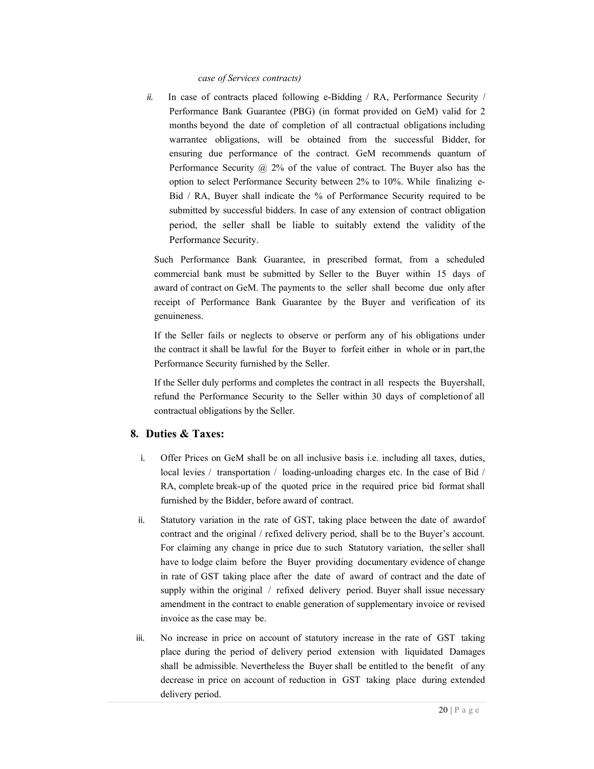### case of Services contracts)

ii. In case of contracts placed following e-Bidding  $/ RA$ , Performance Security  $/$ Performance Bank Guarantee (PBG) (in format provided on GeM) valid for 2 months beyond the date of completion of all contractual obligations including warrantee obligations, will be obtained from the successful Bidder, for ensuring due performance of the contract. GeM recommends quantum of Performance Security @ 2% of the value of contract. The Buyer also has the option to select Performance Security between 2% to 10%. While finalizing e-Bid / RA, Buyer shall indicate the % of Performance Security required to be submitted by successful bidders. In case of any extension of contract obligation period, the seller shall be liable to suitably extend the validity of the Performance Security.

Such Performance Bank Guarantee, in prescribed format, from a scheduled commercial bank must be submitted by Seller to the Buyer within 15 days of award of contract on GeM. The payments to the seller shall become due only after receipt of Performance Bank Guarantee by the Buyer and verification of its genuineness.

If the Seller fails or neglects to observe or perform any of his obligations under the contract it shall be lawful for the Buyer to forfeit either in whole or in part, the Performance Security furnished by the Seller.

If the Seller duly performs and completes the contract in all respects the Buyershall, refund the Performance Security to the Seller within 30 days of completion of all contractual obligations by the Seller.

# 8. Duties & Taxes:

- i. Offer Prices on GeM shall be on all inclusive basis i.e. including all taxes, duties, local levies / transportation / loading-unloading charges etc. In the case of Bid / RA, complete break-up of the quoted price in the required price bid format shall furnished by the Bidder, before award of contract.
- ii. Statutory variation in the rate of GST, taking place between the date of award of contract and the original / refixed delivery period, shall be to the Buyer's account. For claiming any change in price due to such Statutory variation, the seller shall have to lodge claim before the Buyer providing documentary evidence of change in rate of GST taking place after the date of award of contract and the date of supply within the original / refixed delivery period. Buyer shall issue necessary amendment in the contract to enable generation of supplementary invoice or revised invoice as the case may be.
- iii. No increase in price on account of statutory increase in the rate of GST taking place during the period of delivery period extension with liquidated Damages shall be admissible. Nevertheless the Buyer shall be entitled to the benefit of any decrease in price on account of reduction in GST taking place during extended delivery period.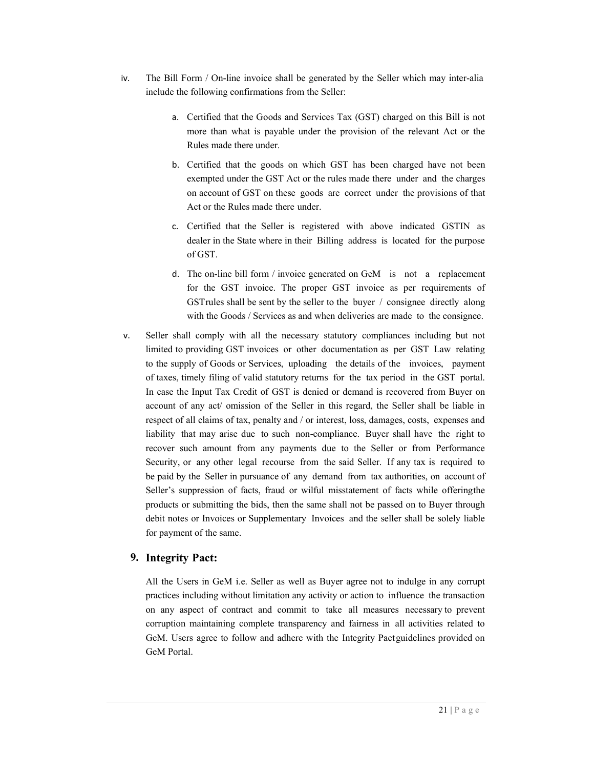- iv. The Bill Form / On-line invoice shall be generated by the Seller which may inter-alia include the following confirmations from the Seller:
	- a. Certified that the Goods and Services Tax (GST) charged on this Bill is not more than what is payable under the provision of the relevant Act or the Rules made there under.
	- b. Certified that the goods on which GST has been charged have not been exempted under the GST Act or the rules made there under and the charges on account of GST on these goods are correct under the provisions of that Act or the Rules made there under.
	- c. Certified that the Seller is registered with above indicated GSTIN as dealer in the State where in their Billing address is located for the purpose of GST.
	- d. The on-line bill form / invoice generated on GeM is not a replacement for the GST invoice. The proper GST invoice as per requirements of GST rules shall be sent by the seller to the buyer / consignee directly along with the Goods / Services as and when deliveries are made to the consignee.
- v. Seller shall comply with all the necessary statutory compliances including but not limited to providing GST invoices or other documentation as per GST Law relating to the supply of Goods or Services, uploading the details of the invoices, payment of taxes, timely filing of valid statutory returns for the tax period in the GST portal. In case the Input Tax Credit of GST is denied or demand is recovered from Buyer on account of any act/ omission of the Seller in this regard, the Seller shall be liable in respect of all claims of tax, penalty and / or interest, loss, damages, costs, expenses and liability that may arise due to such non-compliance. Buyer shall have the right to recover such amount from any payments due to the Seller or from Performance Security, or any other legal recourse from the said Seller. If any tax is required to be paid by the Seller in pursuance of any demand from tax authorities, on account of Seller's suppression of facts, fraud or wilful misstatement of facts while offering the products or submitting the bids, then the same shall not be passed on to Buyer through debit notes or Invoices or Supplementary Invoices and the seller shall be solely liable for payment of the same.

# 9. Integrity Pact:

All the Users in GeM i.e. Seller as well as Buyer agree not to indulge in any corrupt practices including without limitation any activity or action to influence the transaction on any aspect of contract and commit to take all measures necessary to prevent corruption maintaining complete transparency and fairness in all activities related to GeM. Users agree to follow and adhere with the Integrity Pact guidelines provided on GeM Portal.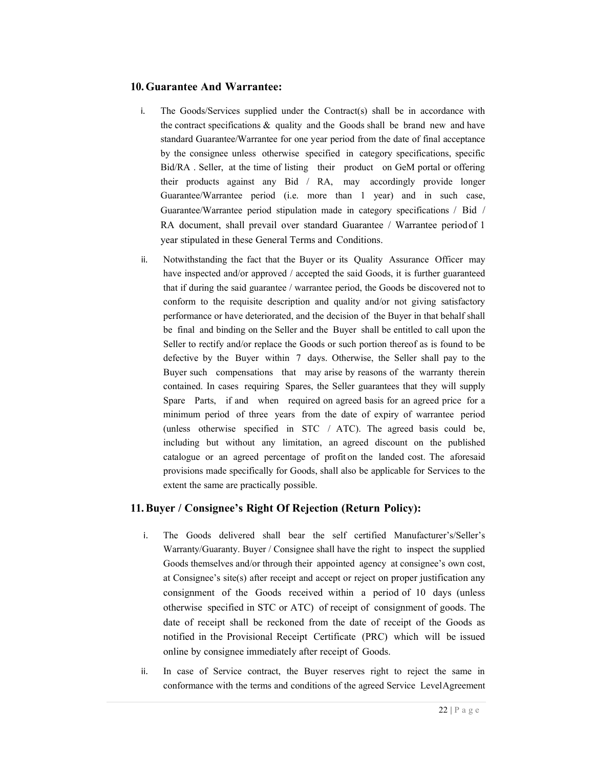# 10.Guarantee And Warrantee:

- i. The Goods/Services supplied under the Contract(s) shall be in accordance with the contract specifications  $\&$  quality and the Goods shall be brand new and have standard Guarantee/Warrantee for one year period from the date of final acceptance by the consignee unless otherwise specified in category specifications, specific Bid/RA . Seller, at the time of listing their product on GeM portal or offering their products against any Bid / RA, may accordingly provide longer Guarantee/Warrantee period (i.e. more than 1 year) and in such case, Guarantee/Warrantee period stipulation made in category specifications / Bid / RA document, shall prevail over standard Guarantee / Warrantee period of 1 year stipulated in these General Terms and Conditions.
- ii. Notwithstanding the fact that the Buyer or its Quality Assurance Officer may have inspected and/or approved / accepted the said Goods, it is further guaranteed that if during the said guarantee / warrantee period, the Goods be discovered not to conform to the requisite description and quality and/or not giving satisfactory performance or have deteriorated, and the decision of the Buyer in that behalf shall be final and binding on the Seller and the Buyer shall be entitled to call upon the Seller to rectify and/or replace the Goods or such portion thereof as is found to be defective by the Buyer within 7 days. Otherwise, the Seller shall pay to the Buyer such compensations that may arise by reasons of the warranty therein contained. In cases requiring Spares, the Seller guarantees that they will supply Spare Parts, if and when required on agreed basis for an agreed price for a minimum period of three years from the date of expiry of warrantee period (unless otherwise specified in STC / ATC). The agreed basis could be, including but without any limitation, an agreed discount on the published catalogue or an agreed percentage of profit on the landed cost. The aforesaid provisions made specifically for Goods, shall also be applicable for Services to the extent the same are practically possible.

# 11.Buyer / Consignee's Right Of Rejection (Return Policy):

- i. The Goods delivered shall bear the self certified Manufacturer's/Seller's Warranty/Guaranty. Buyer / Consignee shall have the right to inspect the supplied Goods themselves and/or through their appointed agency at consignee's own cost, at Consignee's site(s) after receipt and accept or reject on proper justification any consignment of the Goods received within a period of 10 days (unless otherwise specified in STC or ATC) of receipt of consignment of goods. The date of receipt shall be reckoned from the date of receipt of the Goods as notified in the Provisional Receipt Certificate (PRC) which will be issued online by consignee immediately after receipt of Goods.
- ii. In case of Service contract, the Buyer reserves right to reject the same in conformance with the terms and conditions of the agreed Service Level Agreement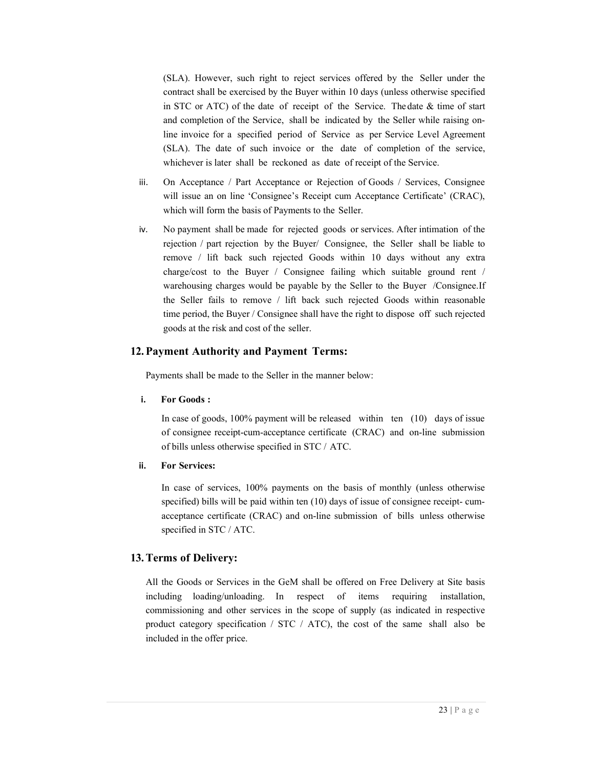(SLA). However, such right to reject services offered by the Seller under the contract shall be exercised by the Buyer within 10 days (unless otherwise specified in STC or ATC) of the date of receipt of the Service. The date & time of start and completion of the Service, shall be indicated by the Seller while raising online invoice for a specified period of Service as per Service Level Agreement (SLA). The date of such invoice or the date of completion of the service, whichever is later shall be reckoned as date of receipt of the Service.

- iii. On Acceptance / Part Acceptance or Rejection of Goods / Services, Consignee will issue an on line 'Consignee's Receipt cum Acceptance Certificate' (CRAC), which will form the basis of Payments to the Seller.
- iv. No payment shall be made for rejected goods or services. After intimation of the rejection / part rejection by the Buyer/ Consignee, the Seller shall be liable to remove / lift back such rejected Goods within 10 days without any extra charge/cost to the Buyer / Consignee failing which suitable ground rent / warehousing charges would be payable by the Seller to the Buyer /Consignee. If the Seller fails to remove / lift back such rejected Goods within reasonable time period, the Buyer / Consignee shall have the right to dispose off such rejected goods at the risk and cost of the seller.

### 12.Payment Authority and Payment Terms:

Payments shall be made to the Seller in the manner below:

i. For Goods :

In case of goods, 100% payment will be released within ten (10) days of issue of consignee receipt-cum-acceptance certificate (CRAC) and on-line submission of bills unless otherwise specified in STC / ATC.

ii. For Services:

In case of services, 100% payments on the basis of monthly (unless otherwise specified) bills will be paid within ten (10) days of issue of consignee receipt- cumacceptance certificate (CRAC) and on-line submission of bills unless otherwise specified in STC / ATC.

#### 13.Terms of Delivery:

All the Goods or Services in the GeM shall be offered on Free Delivery at Site basis including loading/unloading. In respect of items requiring installation, commissioning and other services in the scope of supply (as indicated in respective product category specification / STC / ATC), the cost of the same shall also be included in the offer price.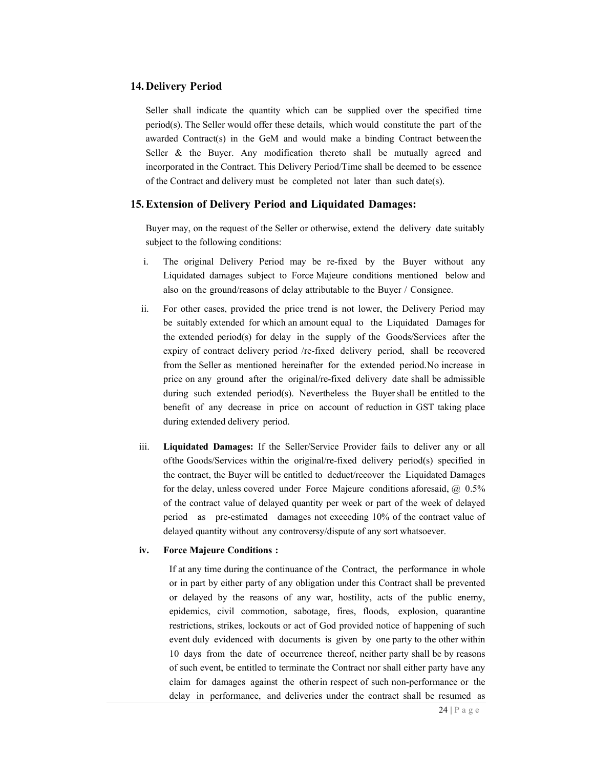#### 14. Delivery Period

Seller shall indicate the quantity which can be supplied over the specified time period(s). The Seller would offer these details, which would constitute the part of the awarded Contract(s) in the GeM and would make a binding Contract between the Seller & the Buyer. Any modification thereto shall be mutually agreed and incorporated in the Contract. This Delivery Period/Time shall be deemed to be essence of the Contract and delivery must be completed not later than such date(s).

### 15.Extension of Delivery Period and Liquidated Damages:

Buyer may, on the request of the Seller or otherwise, extend the delivery date suitably subject to the following conditions:

- i. The original Delivery Period may be re-fixed by the Buyer without any Liquidated damages subject to Force Majeure conditions mentioned below and also on the ground/reasons of delay attributable to the Buyer / Consignee.
- ii. For other cases, provided the price trend is not lower, the Delivery Period may be suitably extended for which an amount equal to the Liquidated Damages for the extended period(s) for delay in the supply of the Goods/Services after the expiry of contract delivery period /re-fixed delivery period, shall be recovered from the Seller as mentioned hereinafter for the extended period. No increase in price on any ground after the original/re-fixed delivery date shall be admissible during such extended period(s). Nevertheless the Buyer shall be entitled to the benefit of any decrease in price on account of reduction in GST taking place during extended delivery period.
- iii. Liquidated Damages: If the Seller/Service Provider fails to deliver any or all of the Goods/Services within the original/re-fixed delivery period(s) specified in the contract, the Buyer will be entitled to deduct/recover the Liquidated Damages for the delay, unless covered under Force Majeure conditions aforesaid, @ 0.5% of the contract value of delayed quantity per week or part of the week of delayed period as pre-estimated damages not exceeding 10% of the contract value of delayed quantity without any controversy/dispute of any sort whatsoever.

#### iv. Force Majeure Conditions :

If at any time during the continuance of the Contract, the performance in whole or in part by either party of any obligation under this Contract shall be prevented or delayed by the reasons of any war, hostility, acts of the public enemy, epidemics, civil commotion, sabotage, fires, floods, explosion, quarantine restrictions, strikes, lockouts or act of God provided notice of happening of such event duly evidenced with documents is given by one party to the other within 10 days from the date of occurrence thereof, neither party shall be by reasons of such event, be entitled to terminate the Contract nor shall either party have any claim for damages against the other in respect of such non-performance or the delay in performance, and deliveries under the contract shall be resumed as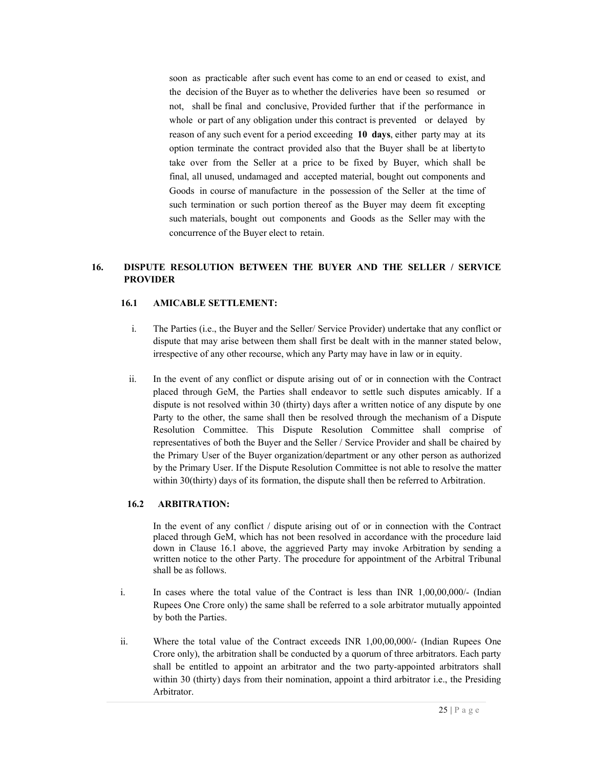soon as practicable after such event has come to an end or ceased to exist, and the decision of the Buyer as to whether the deliveries have been so resumed or not, shall be final and conclusive, Provided further that if the performance in whole or part of any obligation under this contract is prevented or delayed by reason of any such event for a period exceeding 10 days, either party may at its option terminate the contract provided also that the Buyer shall be at liberty to take over from the Seller at a price to be fixed by Buyer, which shall be final, all unused, undamaged and accepted material, bought out components and Goods in course of manufacture in the possession of the Seller at the time of such termination or such portion thereof as the Buyer may deem fit excepting such materials, bought out components and Goods as the Seller may with the concurrence of the Buyer elect to retain.

## 16. DISPUTE RESOLUTION BETWEEN THE BUYER AND THE SELLER / SERVICE PROVIDER

### 16.1 AMICABLE SETTLEMENT:

- i. The Parties (i.e., the Buyer and the Seller/ Service Provider) undertake that any conflict or dispute that may arise between them shall first be dealt with in the manner stated below, irrespective of any other recourse, which any Party may have in law or in equity.
- ii. In the event of any conflict or dispute arising out of or in connection with the Contract placed through GeM, the Parties shall endeavor to settle such disputes amicably. If a dispute is not resolved within 30 (thirty) days after a written notice of any dispute by one Party to the other, the same shall then be resolved through the mechanism of a Dispute Resolution Committee. This Dispute Resolution Committee shall comprise of representatives of both the Buyer and the Seller / Service Provider and shall be chaired by the Primary User of the Buyer organization/department or any other person as authorized by the Primary User. If the Dispute Resolution Committee is not able to resolve the matter within 30(thirty) days of its formation, the dispute shall then be referred to Arbitration.

#### 16.2 ARBITRATION:

In the event of any conflict / dispute arising out of or in connection with the Contract placed through GeM, which has not been resolved in accordance with the procedure laid down in Clause 16.1 above, the aggrieved Party may invoke Arbitration by sending a written notice to the other Party. The procedure for appointment of the Arbitral Tribunal shall be as follows.

- i. In cases where the total value of the Contract is less than INR 1,00,00,000/- (Indian Rupees One Crore only) the same shall be referred to a sole arbitrator mutually appointed by both the Parties.
- ii. Where the total value of the Contract exceeds INR 1,00,00,000/- (Indian Rupees One Crore only), the arbitration shall be conducted by a quorum of three arbitrators. Each party shall be entitled to appoint an arbitrator and the two party-appointed arbitrators shall within 30 (thirty) days from their nomination, appoint a third arbitrator i.e., the Presiding Arbitrator.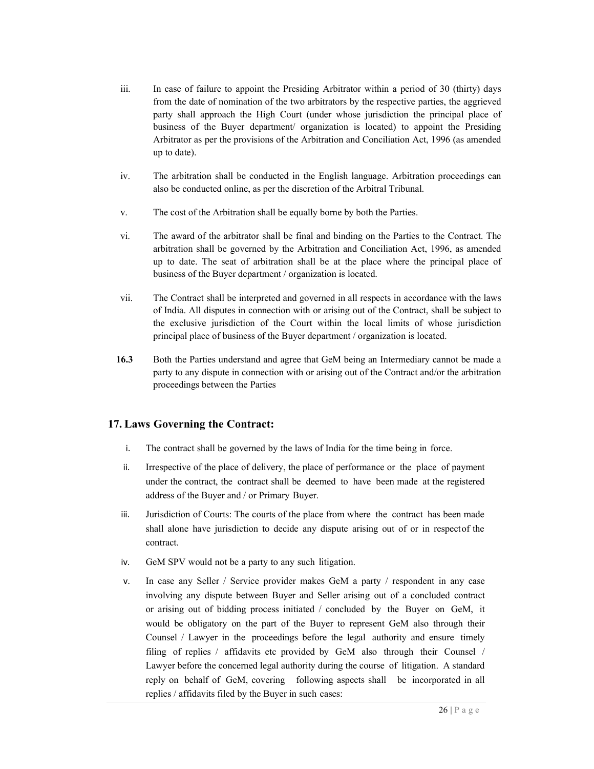- iii. In case of failure to appoint the Presiding Arbitrator within a period of 30 (thirty) days from the date of nomination of the two arbitrators by the respective parties, the aggrieved party shall approach the High Court (under whose jurisdiction the principal place of business of the Buyer department/ organization is located) to appoint the Presiding Arbitrator as per the provisions of the Arbitration and Conciliation Act, 1996 (as amended up to date).
- iv. The arbitration shall be conducted in the English language. Arbitration proceedings can also be conducted online, as per the discretion of the Arbitral Tribunal.
- v. The cost of the Arbitration shall be equally borne by both the Parties.
- vi. The award of the arbitrator shall be final and binding on the Parties to the Contract. The arbitration shall be governed by the Arbitration and Conciliation Act, 1996, as amended up to date. The seat of arbitration shall be at the place where the principal place of business of the Buyer department / organization is located.
- vii. The Contract shall be interpreted and governed in all respects in accordance with the laws of India. All disputes in connection with or arising out of the Contract, shall be subject to the exclusive jurisdiction of the Court within the local limits of whose jurisdiction principal place of business of the Buyer department / organization is located.
- 16.3 Both the Parties understand and agree that GeM being an Intermediary cannot be made a party to any dispute in connection with or arising out of the Contract and/or the arbitration proceedings between the Parties

# 17. Laws Governing the Contract:

- i. The contract shall be governed by the laws of India for the time being in force.
- ii. Irrespective of the place of delivery, the place of performance or the place of payment under the contract, the contract shall be deemed to have been made at the registered address of the Buyer and / or Primary Buyer.
- iii. Jurisdiction of Courts: The courts of the place from where the contract has been made shall alone have jurisdiction to decide any dispute arising out of or in respectof the contract.
- iv. GeM SPV would not be a party to any such litigation.
- v. In case any Seller / Service provider makes GeM a party / respondent in any case involving any dispute between Buyer and Seller arising out of a concluded contract or arising out of bidding process initiated / concluded by the Buyer on GeM, it would be obligatory on the part of the Buyer to represent GeM also through their Counsel / Lawyer in the proceedings before the legal authority and ensure timely filing of replies / affidavits etc provided by GeM also through their Counsel / Lawyer before the concerned legal authority during the course of litigation. A standard reply on behalf of GeM, covering following aspects shall be incorporated in all replies / affidavits filed by the Buyer in such cases: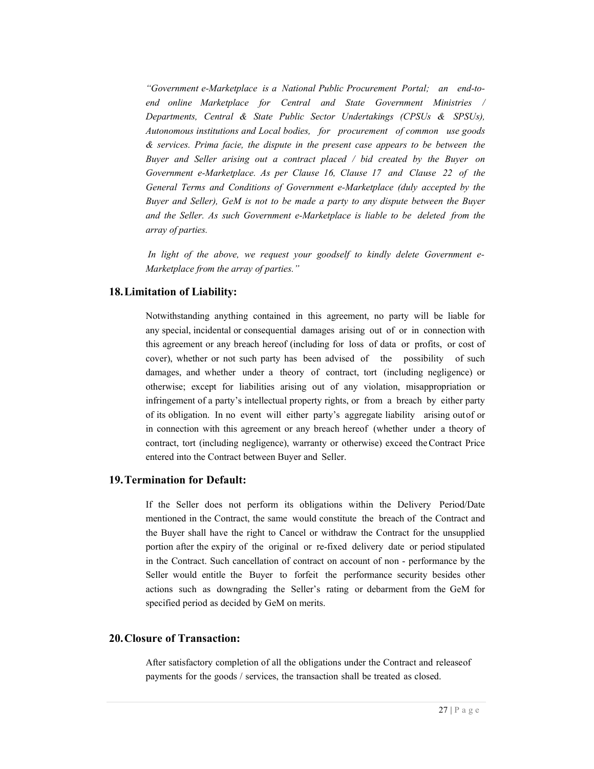"Government e-Marketplace is a National Public Procurement Portal; an end-toend online Marketplace for Central and State Government Ministries / Departments, Central & State Public Sector Undertakings (CPSUs & SPSUs), Autonomous institutions and Local bodies, for procurement of common use goods & services. Prima facie, the dispute in the present case appears to be between the Buyer and Seller arising out a contract placed / bid created by the Buyer on Government e-Marketplace. As per Clause 16, Clause 17 and Clause 22 of the General Terms and Conditions of Government e-Marketplace (duly accepted by the Buyer and Seller), GeM is not to be made a party to any dispute between the Buyer and the Seller. As such Government e-Marketplace is liable to be deleted from the array of parties.

In light of the above, we request your goodself to kindly delete Government e-Marketplace from the array of parties."

### 18.Limitation of Liability:

Notwithstanding anything contained in this agreement, no party will be liable for any special, incidental or consequential damages arising out of or in connection with this agreement or any breach hereof (including for loss of data or profits, or cost of cover), whether or not such party has been advised of the possibility of such damages, and whether under a theory of contract, tort (including negligence) or otherwise; except for liabilities arising out of any violation, misappropriation or infringement of a party's intellectual property rights, or from a breach by either party of its obligation. In no event will either party's aggregate liability arising out of or in connection with this agreement or any breach hereof (whether under a theory of contract, tort (including negligence), warranty or otherwise) exceed the Contract Price entered into the Contract between Buyer and Seller.

## 19.Termination for Default:

If the Seller does not perform its obligations within the Delivery Period/Date mentioned in the Contract, the same would constitute the breach of the Contract and the Buyer shall have the right to Cancel or withdraw the Contract for the unsupplied portion after the expiry of the original or re-fixed delivery date or period stipulated in the Contract. Such cancellation of contract on account of non - performance by the Seller would entitle the Buyer to forfeit the performance security besides other actions such as downgrading the Seller's rating or debarment from the GeM for specified period as decided by GeM on merits.

## 20.Closure of Transaction:

After satisfactory completion of all the obligations under the Contract and release of payments for the goods / services, the transaction shall be treated as closed.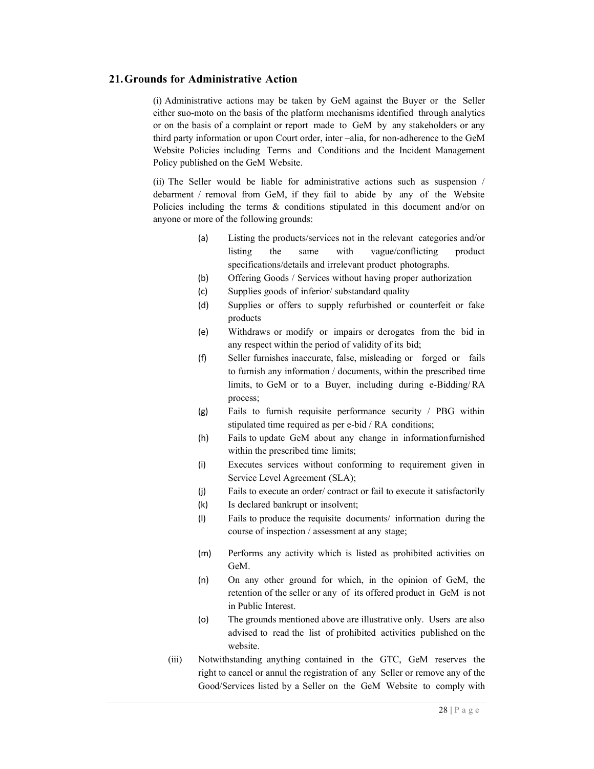## 21.Grounds for Administrative Action

(i) Administrative actions may be taken by GeM against the Buyer or the Seller either suo-moto on the basis of the platform mechanisms identified through analytics or on the basis of a complaint or report made to GeM by any stakeholders or any third party information or upon Court order, inter –alia, for non-adherence to the GeM Website Policies including Terms and Conditions and the Incident Management Policy published on the GeM Website.

(ii) The Seller would be liable for administrative actions such as suspension / debarment / removal from GeM, if they fail to abide by any of the Website Policies including the terms & conditions stipulated in this document and/or on anyone or more of the following grounds:

- (a) Listing the products/services not in the relevant categories and/or listing the same with vague/conflicting product specifications/details and irrelevant product photographs.
- (b) Offering Goods / Services without having proper authorization
- (c) Supplies goods of inferior/ substandard quality
- (d) Supplies or offers to supply refurbished or counterfeit or fake products
- (e) Withdraws or modify or impairs or derogates from the bid in any respect within the period of validity of its bid;
- (f) Seller furnishes inaccurate, false, misleading or forged or fails to furnish any information / documents, within the prescribed time limits, to GeM or to a Buyer, including during e-Bidding/ RA process;
- (g) Fails to furnish requisite performance security / PBG within stipulated time required as per e-bid / RA conditions;
- (h) Fails to update GeM about any change in information furnished within the prescribed time limits;
- (i) Executes services without conforming to requirement given in Service Level Agreement (SLA);
- (j) Fails to execute an order/ contract or fail to execute it satisfactorily
- (k) Is declared bankrupt or insolvent;
- (l) Fails to produce the requisite documents/ information during the course of inspection / assessment at any stage;
- (m) Performs any activity which is listed as prohibited activities on GeM.
- (n) On any other ground for which, in the opinion of GeM, the retention of the seller or any of its offered product in GeM is not in Public Interest.
- (o) The grounds mentioned above are illustrative only. Users are also advised to read the list of prohibited activities published on the website.
- (iii) Notwithstanding anything contained in the GTC, GeM reserves the right to cancel or annul the registration of any Seller or remove any of the Good/Services listed by a Seller on the GeM Website to comply with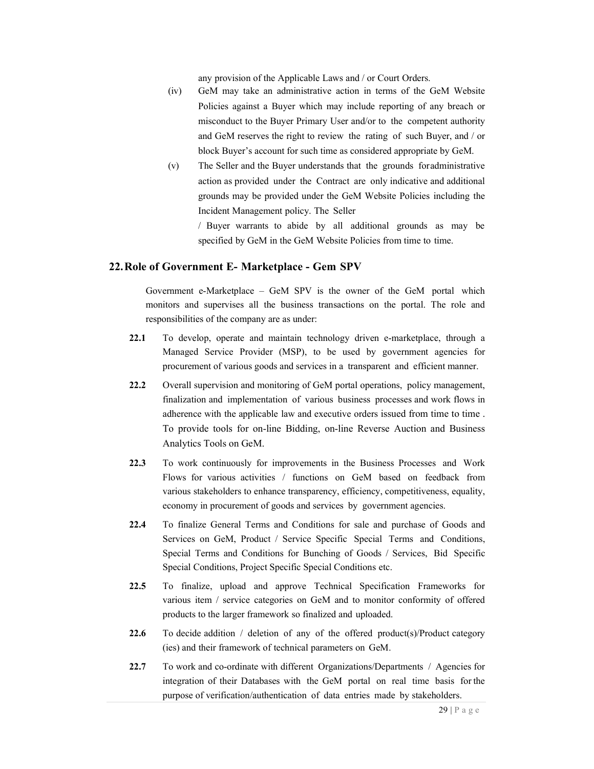any provision of the Applicable Laws and / or Court Orders.

- (iv) GeM may take an administrative action in terms of the GeM Website Policies against a Buyer which may include reporting of any breach or misconduct to the Buyer Primary User and/or to the competent authority and GeM reserves the right to review the rating of such Buyer, and / or block Buyer's account for such time as considered appropriate by GeM.
- (v) The Seller and the Buyer understands that the grounds for administrative action as provided under the Contract are only indicative and additional grounds may be provided under the GeM Website Policies including the Incident Management policy. The Seller

/ Buyer warrants to abide by all additional grounds as may be specified by GeM in the GeM Website Policies from time to time.

### 22.Role of Government E- Marketplace - Gem SPV

Government e-Marketplace – GeM SPV is the owner of the GeM portal which monitors and supervises all the business transactions on the portal. The role and responsibilities of the company are as under:

- 22.1 To develop, operate and maintain technology driven e-marketplace, through a Managed Service Provider (MSP), to be used by government agencies for procurement of various goods and services in a transparent and efficient manner.
- 22.2 Overall supervision and monitoring of GeM portal operations, policy management, finalization and implementation of various business processes and work flows in adherence with the applicable law and executive orders issued from time to time . To provide tools for on-line Bidding, on-line Reverse Auction and Business Analytics Tools on GeM.
- 22.3 To work continuously for improvements in the Business Processes and Work Flows for various activities / functions on GeM based on feedback from various stakeholders to enhance transparency, efficiency, competitiveness, equality, economy in procurement of goods and services by government agencies.
- 22.4 To finalize General Terms and Conditions for sale and purchase of Goods and Services on GeM, Product / Service Specific Special Terms and Conditions, Special Terms and Conditions for Bunching of Goods / Services, Bid Specific Special Conditions, Project Specific Special Conditions etc.
- 22.5 To finalize, upload and approve Technical Specification Frameworks for various item / service categories on GeM and to monitor conformity of offered products to the larger framework so finalized and uploaded.
- 22.6 To decide addition  $/$  deletion of any of the offered product(s)/Product category (ies) and their framework of technical parameters on GeM.
- 22.7 To work and co-ordinate with different Organizations/Departments / Agencies for integration of their Databases with the GeM portal on real time basis for the purpose of verification/authentication of data entries made by stakeholders.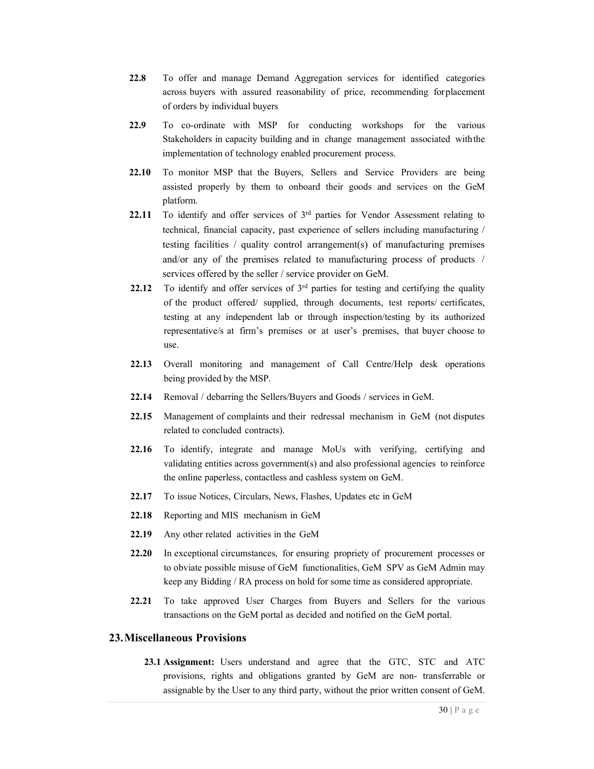- 22.8 To offer and manage Demand Aggregation services for identified categories across buyers with assured reasonability of price, recommending for placement of orders by individual buyers
- 22.9 To co-ordinate with MSP for conducting workshops for the various Stakeholders in capacity building and in change management associated with the implementation of technology enabled procurement process.
- 22.10 To monitor MSP that the Buyers, Sellers and Service Providers are being assisted properly by them to onboard their goods and services on the GeM platform.
- 22.11 To identify and offer services of  $3<sup>rd</sup>$  parties for Vendor Assessment relating to technical, financial capacity, past experience of sellers including manufacturing / testing facilities / quality control arrangement(s) of manufacturing premises and/or any of the premises related to manufacturing process of products / services offered by the seller / service provider on GeM.
- 22.12 To identify and offer services of  $3<sup>rd</sup>$  parties for testing and certifying the quality of the product offered/ supplied, through documents, test reports/ certificates, testing at any independent lab or through inspection/testing by its authorized representative/s at firm's premises or at user's premises, that buyer choose to use.
- 22.13 Overall monitoring and management of Call Centre/Help desk operations being provided by the MSP.
- 22.14 Removal / debarring the Sellers/Buyers and Goods / services in GeM.
- 22.15 Management of complaints and their redressal mechanism in GeM (not disputes related to concluded contracts).
- 22.16 To identify, integrate and manage MoUs with verifying, certifying and validating entities across government(s) and also professional agencies to reinforce the online paperless, contactless and cashless system on GeM.
- 22.17 To issue Notices, Circulars, News, Flashes, Updates etc in GeM
- 22.18 Reporting and MIS mechanism in GeM
- 22.19 Any other related activities in the GeM
- 22.20 In exceptional circumstances, for ensuring propriety of procurement processes or to obviate possible misuse of GeM functionalities, GeM SPV as GeM Admin may keep any Bidding / RA process on hold for some time as considered appropriate.
- 22.21 To take approved User Charges from Buyers and Sellers for the various transactions on the GeM portal as decided and notified on the GeM portal.

### 23.Miscellaneous Provisions

23.1 Assignment: Users understand and agree that the GTC, STC and ATC provisions, rights and obligations granted by GeM are non- transferrable or assignable by the User to any third party, without the prior written consent of GeM.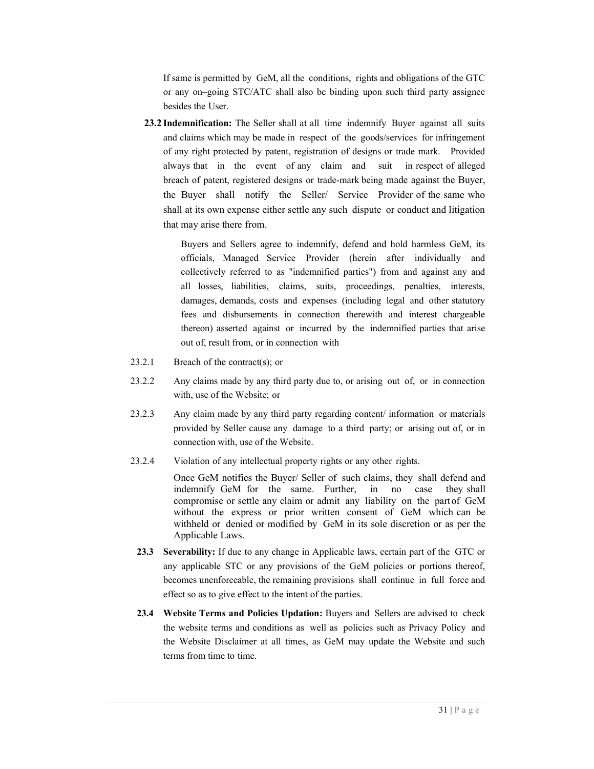If same is permitted by GeM, all the conditions, rights and obligations of the GTC or any on–going STC/ATC shall also be binding upon such third party assignee besides the User.

23.2 Indemnification: The Seller shall at all time indemnify Buyer against all suits and claims which may be made in respect of the goods/services for infringement of any right protected by patent, registration of designs or trade mark. Provided always that in the event of any claim and suit in respect of alleged breach of patent, registered designs or trade-mark being made against the Buyer, the Buyer shall notify the Seller/ Service Provider of the same who shall at its own expense either settle any such dispute or conduct and litigation that may arise there from.

> Buyers and Sellers agree to indemnify, defend and hold harmless GeM, its officials, Managed Service Provider (herein after individually and collectively referred to as "indemnified parties") from and against any and all losses, liabilities, claims, suits, proceedings, penalties, interests, damages, demands, costs and expenses (including legal and other statutory fees and disbursements in connection therewith and interest chargeable thereon) asserted against or incurred by the indemnified parties that arise out of, result from, or in connection with

- 23.2.1 Breach of the contract(s); or
- 23.2.2 Any claims made by any third party due to, or arising out of, or in connection with, use of the Website; or
- 23.2.3 Any claim made by any third party regarding content/ information or materials provided by Seller cause any damage to a third party; or arising out of, or in connection with, use of the Website.
- 23.2.4 Violation of any intellectual property rights or any other rights.

Once GeM notifies the Buyer/ Seller of such claims, they shall defend and indemnify GeM for the same. Further, in no case they shall compromise or settle any claim or admit any liability on the part of GeM without the express or prior written consent of GeM which can be withheld or denied or modified by GeM in its sole discretion or as per the Applicable Laws.

- 23.3 Severability: If due to any change in Applicable laws, certain part of the GTC or any applicable STC or any provisions of the GeM policies or portions thereof, becomes unenforceable, the remaining provisions shall continue in full force and effect so as to give effect to the intent of the parties.
- 23.4 Website Terms and Policies Updation: Buyers and Sellers are advised to check the website terms and conditions as well as policies such as Privacy Policy and the Website Disclaimer at all times, as GeM may update the Website and such terms from time to time.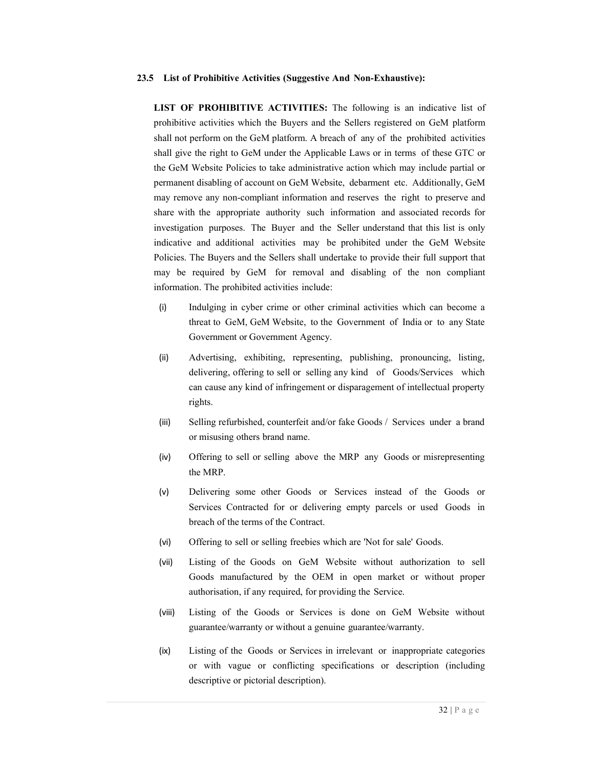#### 23.5 List of Prohibitive Activities (Suggestive And Non-Exhaustive):

LIST OF PROHIBITIVE ACTIVITIES: The following is an indicative list of prohibitive activities which the Buyers and the Sellers registered on GeM platform shall not perform on the GeM platform. A breach of any of the prohibited activities shall give the right to GeM under the Applicable Laws or in terms of these GTC or the GeM Website Policies to take administrative action which may include partial or permanent disabling of account on GeM Website, debarment etc. Additionally, GeM may remove any non-compliant information and reserves the right to preserve and share with the appropriate authority such information and associated records for investigation purposes. The Buyer and the Seller understand that this list is only indicative and additional activities may be prohibited under the GeM Website Policies. The Buyers and the Sellers shall undertake to provide their full support that may be required by GeM for removal and disabling of the non compliant information. The prohibited activities include:

- (i) Indulging in cyber crime or other criminal activities which can become a threat to GeM, GeM Website, to the Government of India or to any State Government or Government Agency.
- (ii) Advertising, exhibiting, representing, publishing, pronouncing, listing, delivering, offering to sell or selling any kind of Goods/Services which can cause any kind of infringement or disparagement of intellectual property rights.
- (iii) Selling refurbished, counterfeit and/or fake Goods / Services under a brand or misusing others brand name.
- (iv) Offering to sell or selling above the MRP any Goods or misrepresenting the MRP.
- (v) Delivering some other Goods or Services instead of the Goods or Services Contracted for or delivering empty parcels or used Goods in breach of the terms of the Contract.
- (vi) Offering to sell or selling freebies which are 'Not for sale' Goods.
- (vii) Listing of the Goods on GeM Website without authorization to sell Goods manufactured by the OEM in open market or without proper authorisation, if any required, for providing the Service.
- (viii) Listing of the Goods or Services is done on GeM Website without guarantee/warranty or without a genuine guarantee/warranty.
- (ix) Listing of the Goods or Services in irrelevant or inappropriate categories or with vague or conflicting specifications or description (including descriptive or pictorial description).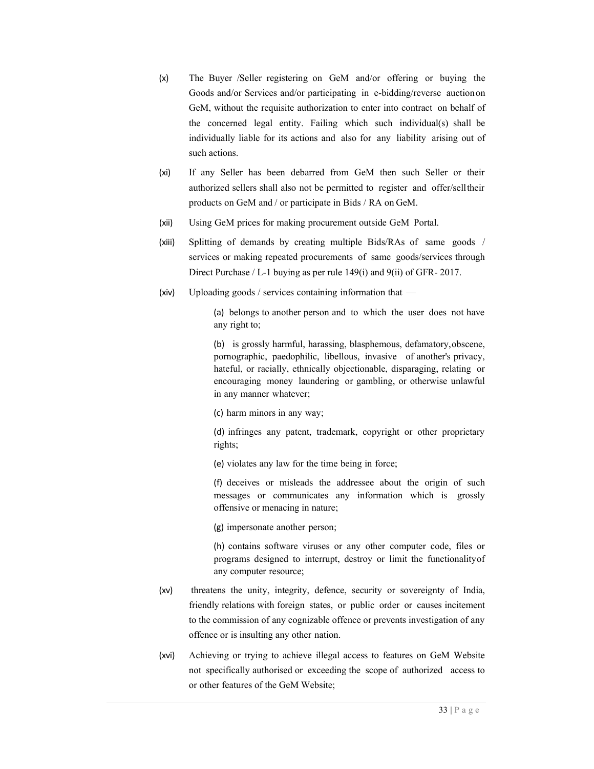- (x) The Buyer /Seller registering on GeM and/or offering or buying the Goods and/or Services and/or participating in e-bidding/reverse auction on GeM, without the requisite authorization to enter into contract on behalf of the concerned legal entity. Failing which such individual(s) shall be individually liable for its actions and also for any liability arising out of such actions.
- (xi) If any Seller has been debarred from GeM then such Seller or their authorized sellers shall also not be permitted to register and offer/sell their products on GeM and / or participate in Bids / RA on GeM.
- (xii) Using GeM prices for making procurement outside GeM Portal.
- (xiii) Splitting of demands by creating multiple Bids/RAs of same goods / services or making repeated procurements of same goods/services through Direct Purchase / L-1 buying as per rule 149(i) and 9(ii) of GFR- 2017.
- (xiv) Uploading goods / services containing information that —

(a) belongs to another person and to which the user does not have any right to;

(b) is grossly harmful, harassing, blasphemous, defamatory, obscene, pornographic, paedophilic, libellous, invasive of another's privacy, hateful, or racially, ethnically objectionable, disparaging, relating or encouraging money laundering or gambling, or otherwise unlawful in any manner whatever;

(c) harm minors in any way;

(d) infringes any patent, trademark, copyright or other proprietary rights;

(e) violates any law for the time being in force;

(f) deceives or misleads the addressee about the origin of such messages or communicates any information which is grossly offensive or menacing in nature;

(g) impersonate another person;

(h) contains software viruses or any other computer code, files or programs designed to interrupt, destroy or limit the functionality of any computer resource;

- (xv) threatens the unity, integrity, defence, security or sovereignty of India, friendly relations with foreign states, or public order or causes incitement to the commission of any cognizable offence or prevents investigation of any offence or is insulting any other nation.
- (xvi) Achieving or trying to achieve illegal access to features on GeM Website not specifically authorised or exceeding the scope of authorized access to or other features of the GeM Website;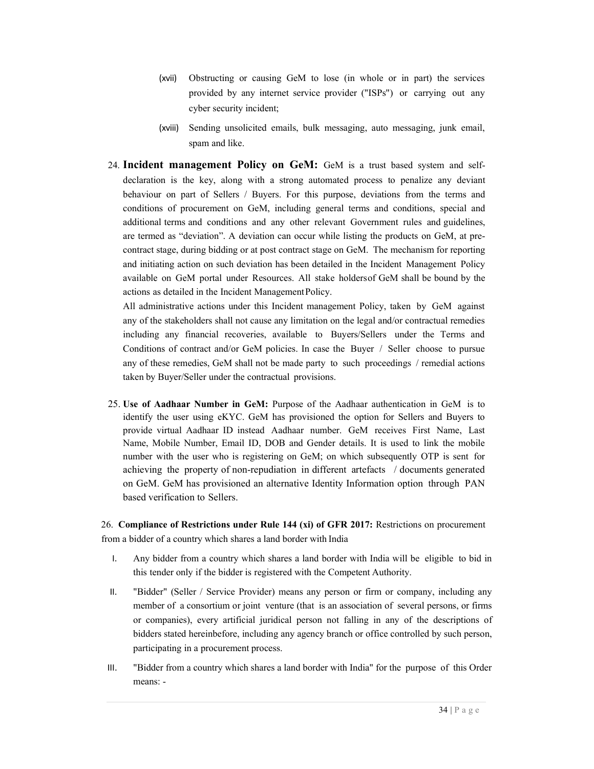- (xvii) Obstructing or causing GeM to lose (in whole or in part) the services provided by any internet service provider ("ISPs") or carrying out any cyber security incident;
- (xviii) Sending unsolicited emails, bulk messaging, auto messaging, junk email, spam and like.
- 24. Incident management Policy on GeM: GeM is a trust based system and selfdeclaration is the key, along with a strong automated process to penalize any deviant behaviour on part of Sellers / Buyers. For this purpose, deviations from the terms and conditions of procurement on GeM, including general terms and conditions, special and additional terms and conditions and any other relevant Government rules and guidelines, are termed as "deviation". A deviation can occur while listing the products on GeM, at precontract stage, during bidding or at post contract stage on GeM. The mechanism for reporting and initiating action on such deviation has been detailed in the Incident Management Policy available on GeM portal under Resources. All stake holders of GeM shall be bound by the actions as detailed in the Incident Management Policy.

All administrative actions under this Incident management Policy, taken by GeM against any of the stakeholders shall not cause any limitation on the legal and/or contractual remedies including any financial recoveries, available to Buyers/Sellers under the Terms and Conditions of contract and/or GeM policies. In case the Buyer / Seller choose to pursue any of these remedies, GeM shall not be made party to such proceedings / remedial actions taken by Buyer/Seller under the contractual provisions.

25. Use of Aadhaar Number in GeM: Purpose of the Aadhaar authentication in GeM is to identify the user using eKYC. GeM has provisioned the option for Sellers and Buyers to provide virtual Aadhaar ID instead Aadhaar number. GeM receives First Name, Last Name, Mobile Number, Email ID, DOB and Gender details. It is used to link the mobile number with the user who is registering on GeM; on which subsequently OTP is sent for achieving the property of non-repudiation in different artefacts / documents generated on GeM. GeM has provisioned an alternative Identity Information option through PAN based verification to Sellers.

26. Compliance of Restrictions under Rule 144 (xi) of GFR 2017: Restrictions on procurement from a bidder of a country which shares a land border with India

- I. Any bidder from a country which shares a land border with India will be eligible to bid in this tender only if the bidder is registered with the Competent Authority.
- II. "Bidder" (Seller / Service Provider) means any person or firm or company, including any member of a consortium or joint venture (that is an association of several persons, or firms or companies), every artificial juridical person not falling in any of the descriptions of bidders stated hereinbefore, including any agency branch or office controlled by such person, participating in a procurement process.
- III. "Bidder from a country which shares a land border with India" for the purpose of this Order means: -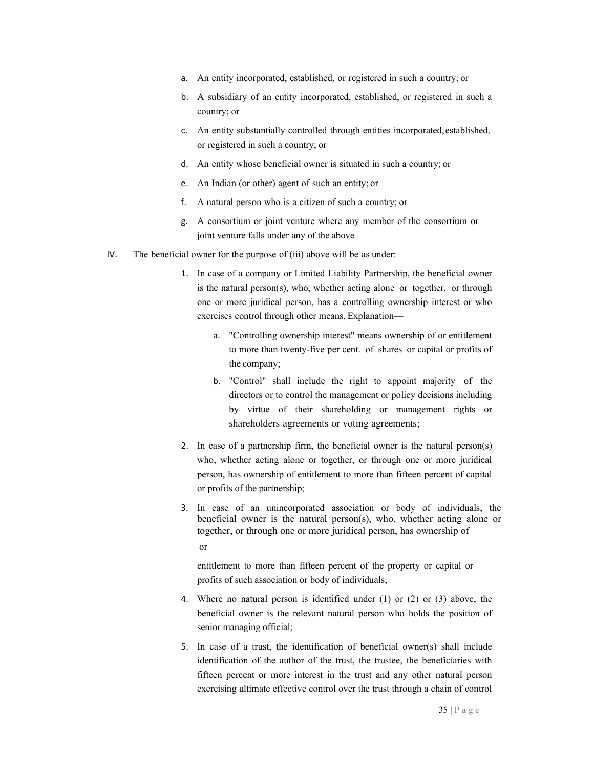- a. An entity incorporated, established, or registered in such a country; or
- b. A subsidiary of an entity incorporated, established, or registered in such a country; or
- c. An entity substantially controlled through entities incorporated, established, or registered in such a country; or
- d. An entity whose beneficial owner is situated in such a country; or
- e. An Indian (or other) agent of such an entity; or
- f. A natural person who is a citizen of such a country; or
- g. A consortium or joint venture where any member of the consortium or joint venture falls under any of the above
- IV. The beneficial owner for the purpose of (iii) above will be as under:
	- 1. In case of a company or Limited Liability Partnership, the beneficial owner is the natural person(s), who, whether acting alone or together, or through one or more juridical person, has a controlling ownership interest or who exercises control through other means. Explanation—
		- "Controlling ownership interest" means ownership of or entitlement to more than twenty-five per cent. of shares or capital or profits of the company;
		- b. "Control" shall include the right to appoint majority of the directors or to control the management or policy decisions including by virtue of their shareholding or management rights or shareholders agreements or voting agreements;
	- 2. In case of a partnership firm, the beneficial owner is the natural person(s) who, whether acting alone or together, or through one or more juridical person, has ownership of entitlement to more than fifteen percent of capital or profits of the partnership;
	- 3. In case of an unincorporated association or body of individuals, the beneficial owner is the natural person(s), who, whether acting alone or together, or through one or more juridical person, has ownership of or

entitlement to more than fifteen percent of the property or capital or profits of such association or body of individuals;

- 4. Where no natural person is identified under (1) or (2) or (3) above, the beneficial owner is the relevant natural person who holds the position of senior managing official;
- 5. In case of a trust, the identification of beneficial owner(s) shall include identification of the author of the trust, the trustee, the beneficiaries with fifteen percent or more interest in the trust and any other natural person exercising ultimate effective control over the trust through a chain of control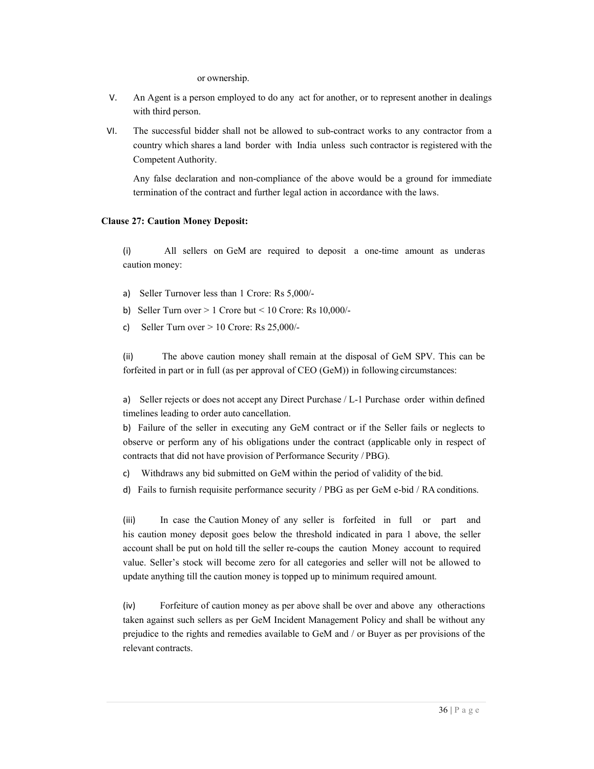or ownership.

- V. An Agent is a person employed to do any act for another, or to represent another in dealings with third person.
- VI. The successful bidder shall not be allowed to sub-contract works to any contractor from a country which shares a land border with India unless such contractor is registered with the Competent Authority.

Any false declaration and non-compliance of the above would be a ground for immediate termination of the contract and further legal action in accordance with the laws.

#### Clause 27: Caution Money Deposit:

(i) All sellers on GeM are required to deposit a one-time amount as under as caution money:

- a) Seller Turnover less than 1 Crore: Rs 5,000/-
- b) Seller Turn over  $> 1$  Crore but  $< 10$  Crore: Rs 10,000/-
- c) Seller Turn over  $> 10$  Crore: Rs 25,000/-

(ii) The above caution money shall remain at the disposal of GeM SPV. This can be forfeited in part or in full (as per approval of CEO (GeM)) in following circumstances:

a) Seller rejects or does not accept any Direct Purchase / L-1 Purchase order within defined timelines leading to order auto cancellation.

b) Failure of the seller in executing any GeM contract or if the Seller fails or neglects to observe or perform any of his obligations under the contract (applicable only in respect of contracts that did not have provision of Performance Security / PBG).

- c) Withdraws any bid submitted on GeM within the period of validity of the bid.
- d) Fails to furnish requisite performance security / PBG as per GeM e-bid / RA conditions.

(iii) In case the Caution Money of any seller is forfeited in full or part and his caution money deposit goes below the threshold indicated in para 1 above, the seller account shall be put on hold till the seller re-coups the caution Money account to required value. Seller's stock will become zero for all categories and seller will not be allowed to update anything till the caution money is topped up to minimum required amount.

(iv) Forfeiture of caution money as per above shall be over and above any other actions taken against such sellers as per GeM Incident Management Policy and shall be without any prejudice to the rights and remedies available to GeM and / or Buyer as per provisions of the relevant contracts.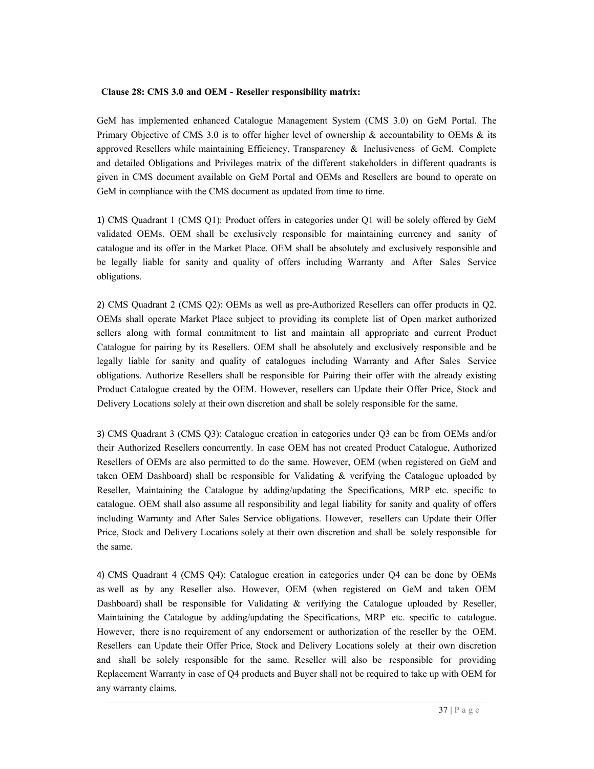#### Clause 28: CMS 3.0 and OEM - Reseller responsibility matrix:

GeM has implemented enhanced Catalogue Management System (CMS 3.0) on GeM Portal. The Primary Objective of CMS 3.0 is to offer higher level of ownership  $\&$  accountability to OEMs  $\&$  its approved Resellers while maintaining Efficiency, Transparency & Inclusiveness of GeM. Complete and detailed Obligations and Privileges matrix of the different stakeholders in different quadrants is given in CMS document available on GeM Portal and OEMs and Resellers are bound to operate on GeM in compliance with the CMS document as updated from time to time.

1) CMS Quadrant 1 (CMS Q1): Product offers in categories under Q1 will be solely offered by GeM validated OEMs. OEM shall be exclusively responsible for maintaining currency and sanity of catalogue and its offer in the Market Place. OEM shall be absolutely and exclusively responsible and be legally liable for sanity and quality of offers including Warranty and After Sales Service obligations.

2) CMS Quadrant 2 (CMS Q2): OEMs as well as pre-Authorized Resellers can offer products in Q2. OEMs shall operate Market Place subject to providing its complete list of Open market authorized sellers along with formal commitment to list and maintain all appropriate and current Product Catalogue for pairing by its Resellers. OEM shall be absolutely and exclusively responsible and be legally liable for sanity and quality of catalogues including Warranty and After Sales Service obligations. Authorize Resellers shall be responsible for Pairing their offer with the already existing Product Catalogue created by the OEM. However, resellers can Update their Offer Price, Stock and Delivery Locations solely at their own discretion and shall be solely responsible for the same.

3) CMS Quadrant 3 (CMS Q3): Catalogue creation in categories under Q3 can be from OEMs and/or their Authorized Resellers concurrently. In case OEM has not created Product Catalogue, Authorized Resellers of OEMs are also permitted to do the same. However, OEM (when registered on GeM and taken OEM Dashboard) shall be responsible for Validating  $\&$  verifying the Catalogue uploaded by Reseller, Maintaining the Catalogue by adding/updating the Specifications, MRP etc. specific to catalogue. OEM shall also assume all responsibility and legal liability for sanity and quality of offers including Warranty and After Sales Service obligations. However, resellers can Update their Offer Price, Stock and Delivery Locations solely at their own discretion and shall be solely responsible for the same.

4) CMS Quadrant 4 (CMS Q4): Catalogue creation in categories under Q4 can be done by OEMs as well as by any Reseller also. However, OEM (when registered on GeM and taken OEM Dashboard) shall be responsible for Validating & verifying the Catalogue uploaded by Reseller, Maintaining the Catalogue by adding/updating the Specifications, MRP etc. specific to catalogue. However, there is no requirement of any endorsement or authorization of the reseller by the OEM. Resellers can Update their Offer Price, Stock and Delivery Locations solely at their own discretion and shall be solely responsible for the same. Reseller will also be responsible for providing Replacement Warranty in case of Q4 products and Buyer shall not be required to take up with OEM for any warranty claims.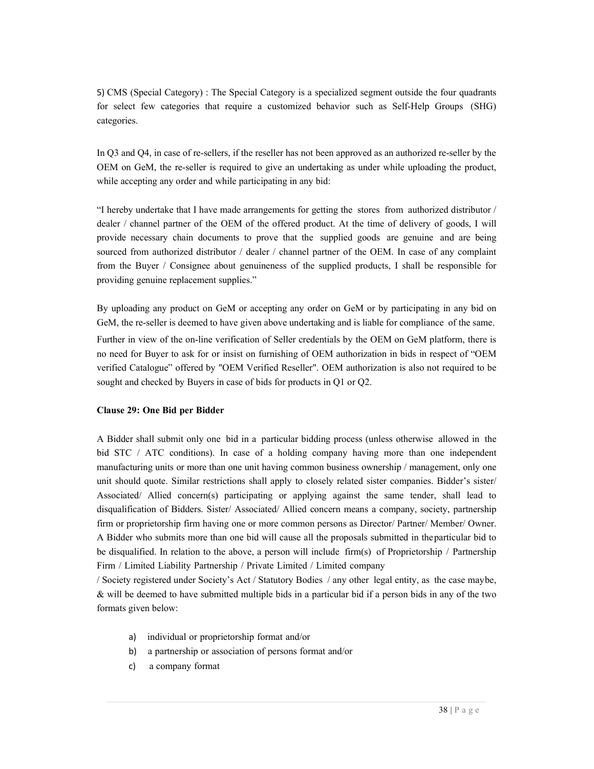5) CMS (Special Category) : The Special Category is a specialized segment outside the four quadrants for select few categories that require a customized behavior such as Self-Help Groups (SHG) categories.

In Q3 and Q4, in case of re-sellers, if the reseller has not been approved as an authorized re-seller by the OEM on GeM, the re-seller is required to give an undertaking as under while uploading the product, while accepting any order and while participating in any bid:

"I hereby undertake that I have made arrangements for getting the stores from authorized distributor / dealer / channel partner of the OEM of the offered product. At the time of delivery of goods, I will provide necessary chain documents to prove that the supplied goods are genuine and are being sourced from authorized distributor / dealer / channel partner of the OEM. In case of any complaint from the Buyer / Consignee about genuineness of the supplied products, I shall be responsible for providing genuine replacement supplies."

By uploading any product on GeM or accepting any order on GeM or by participating in any bid on GeM, the re-seller is deemed to have given above undertaking and is liable for compliance of the same.

Further in view of the on-line verification of Seller credentials by the OEM on GeM platform, there is no need for Buyer to ask for or insist on furnishing of OEM authorization in bids in respect of "OEM verified Catalogue" offered by "OEM Verified Reseller". OEM authorization is also not required to be sought and checked by Buyers in case of bids for products in Q1 or Q2.

### Clause 29: One Bid per Bidder

A Bidder shall submit only one bid in a particular bidding process (unless otherwise allowed in the bid STC / ATC conditions). In case of a holding company having more than one independent manufacturing units or more than one unit having common business ownership / management, only one unit should quote. Similar restrictions shall apply to closely related sister companies. Bidder's sister/ Associated/ Allied concern(s) participating or applying against the same tender, shall lead to disqualification of Bidders. Sister/ Associated/ Allied concern means a company, society, partnership firm or proprietorship firm having one or more common persons as Director/ Partner/ Member/ Owner. A Bidder who submits more than one bid will cause all the proposals submitted in the particular bid to be disqualified. In relation to the above, a person will include firm(s) of Proprietorship / Partnership Firm / Limited Liability Partnership / Private Limited / Limited company

/ Society registered under Society's Act / Statutory Bodies / any other legal entity, as the case may be,  $\&$  will be deemed to have submitted multiple bids in a particular bid if a person bids in any of the two formats given below:

- a) individual or proprietorship format and/or
- b) a partnership or association of persons format and/or
- c) a company format